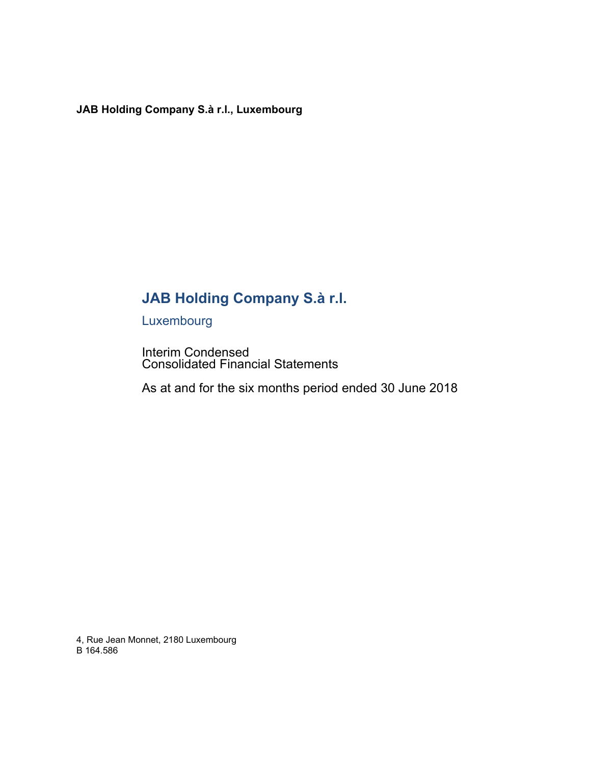# **JAB Holding Company S.à r.l.**

Luxembourg

Interim Condensed Consolidated Financial Statements

As at and for the six months period ended 30 June 2018

4, Rue Jean Monnet, 2180 Luxembourg B 164.586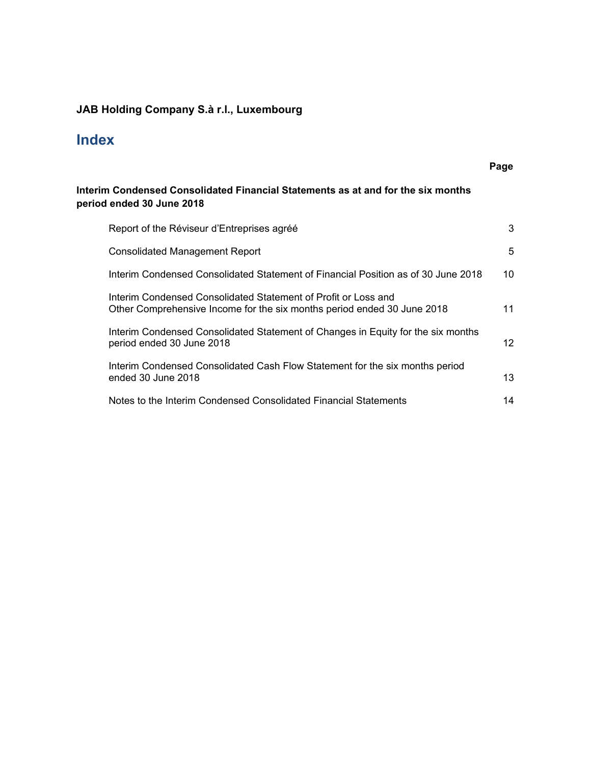# **Index**

|                                                                                                                                           | Page |
|-------------------------------------------------------------------------------------------------------------------------------------------|------|
| Interim Condensed Consolidated Financial Statements as at and for the six months<br>period ended 30 June 2018                             |      |
| Report of the Réviseur d'Entreprises agréé                                                                                                | 3    |
| <b>Consolidated Management Report</b>                                                                                                     | 5    |
| Interim Condensed Consolidated Statement of Financial Position as of 30 June 2018                                                         | 10   |
| Interim Condensed Consolidated Statement of Profit or Loss and<br>Other Comprehensive Income for the six months period ended 30 June 2018 | 11   |
| Interim Condensed Consolidated Statement of Changes in Equity for the six months<br>period ended 30 June 2018                             | 12   |
| Interim Condensed Consolidated Cash Flow Statement for the six months period<br>ended 30 June 2018                                        | 13   |
| Notes to the Interim Condensed Consolidated Financial Statements                                                                          | 14   |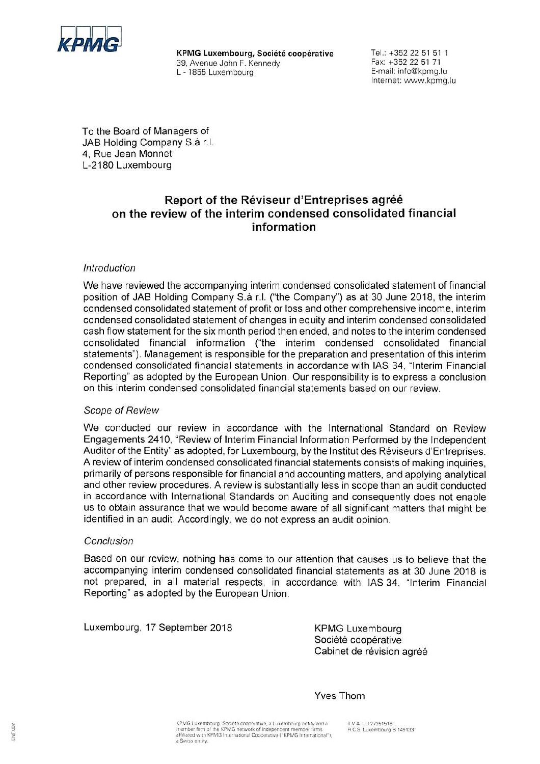

KPMG Luxembourg, Société coopérative 39, Avenue John F. Kennedy L - 1855 Luxembourg

Tel.: +352 22 51 51 1 Fax: +352 22 51 71 E-mail: info@kpmg.lu Internet: www.kpmg.lu

To the Board of Managers of JAB Holding Company S.à r.l. 4, Rue Jean Monnet L-2180 Luxembourg

## Report of the Réviseur d'Entreprises agréé on the review of the interim condensed consolidated financial information

### Introduction

We have reviewed the accompanying interim condensed consolidated statement of financial position of JAB Holding Company S.à r.l. ("the Company") as at 30 June 2018, the interim condensed consolidated statement of profit or loss and other comprehensive income, interim condensed consolidated statement of changes in equity and interim condensed consolidated cash flow statement for the six month period then ended, and notes to the interim condensed consolidated financial information ("the interim condensed consolidated financial statements"). Management is responsible for the preparation and presentation of this interim condensed consolidated financial statements in accordance with IAS 34, "Interim Financial Reporting" as adopted by the European Union. Our responsibility is to express a conclusion on this interim condensed consolidated financial statements based on our review.

#### Scope of Review

We conducted our review in accordance with the International Standard on Review Engagements 2410, "Review of Interim Financial Information Performed by the Independent Auditor of the Entity" as adopted, for Luxembourg, by the Institut des Réviseurs d'Entreprises. A review of interim condensed consolidated financial statements consists of making inquiries. primarily of persons responsible for financial and accounting matters, and applying analytical and other review procedures. A review is substantially less in scope than an audit conducted in accordance with International Standards on Auditing and consequently does not enable us to obtain assurance that we would become aware of all significant matters that might be identified in an audit. Accordingly, we do not express an audit opinion.

#### Conclusion

Based on our review, nothing has come to our attention that causes us to believe that the accompanying interim condensed consolidated financial statements as at 30 June 2018 is not prepared, in all material respects, in accordance with IAS 34, "Interim Financial Reporting" as adopted by the European Union.

Luxembourg, 17 September 2018

**KPMG Luxembourg** Société coopérative Cabinet de révision agréé

**Yves Thorn** 

82 Ē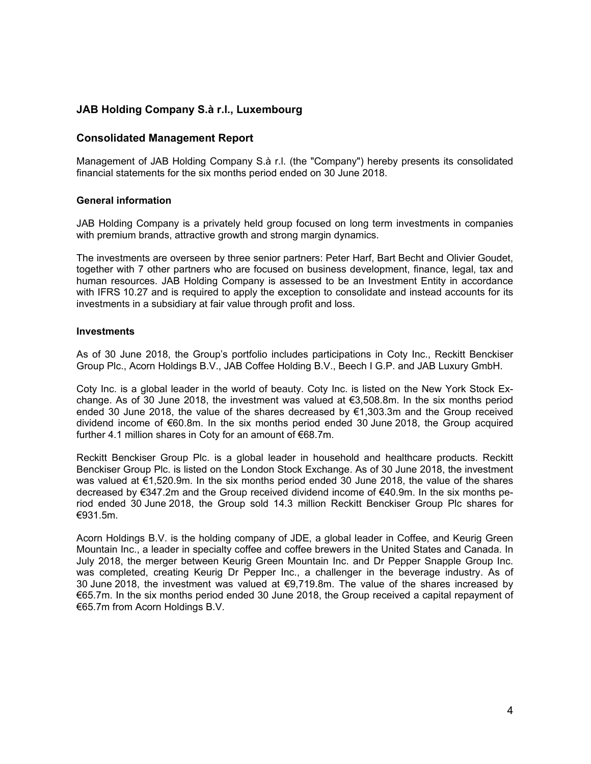### **Consolidated Management Report**

Management of JAB Holding Company S.à r.l. (the "Company") hereby presents its consolidated financial statements for the six months period ended on 30 June 2018.

#### **General information**

JAB Holding Company is a privately held group focused on long term investments in companies with premium brands, attractive growth and strong margin dynamics.

The investments are overseen by three senior partners: Peter Harf, Bart Becht and Olivier Goudet, together with 7 other partners who are focused on business development, finance, legal, tax and human resources. JAB Holding Company is assessed to be an Investment Entity in accordance with IFRS 10.27 and is required to apply the exception to consolidate and instead accounts for its investments in a subsidiary at fair value through profit and loss.

#### **Investments**

As of 30 June 2018, the Group's portfolio includes participations in Coty Inc., Reckitt Benckiser Group Plc., Acorn Holdings B.V., JAB Coffee Holding B.V., Beech I G.P. and JAB Luxury GmbH.

Coty Inc. is a global leader in the world of beauty. Coty Inc. is listed on the New York Stock Exchange. As of 30 June 2018, the investment was valued at  $\epsilon$ 3,508.8m. In the six months period ended 30 June 2018, the value of the shares decreased by  $\epsilon$ 1,303.3m and the Group received dividend income of €60.8m. In the six months period ended 30 June 2018, the Group acquired further 4.1 million shares in Coty for an amount of €68.7m.

Reckitt Benckiser Group Plc. is a global leader in household and healthcare products. Reckitt Benckiser Group Plc. is listed on the London Stock Exchange. As of 30 June 2018, the investment was valued at €1,520.9m. In the six months period ended 30 June 2018, the value of the shares decreased by €347.2m and the Group received dividend income of €40.9m. In the six months period ended 30 June 2018, the Group sold 14.3 million Reckitt Benckiser Group Plc shares for €931.5m.

Acorn Holdings B.V. is the holding company of JDE, a global leader in Coffee, and Keurig Green Mountain Inc., a leader in specialty coffee and coffee brewers in the United States and Canada. In July 2018, the merger between Keurig Green Mountain Inc. and Dr Pepper Snapple Group Inc. was completed, creating Keurig Dr Pepper Inc., a challenger in the beverage industry. As of 30 June 2018, the investment was valued at €9,719.8m. The value of the shares increased by €65.7m. In the six months period ended 30 June 2018, the Group received a capital repayment of €65.7m from Acorn Holdings B.V.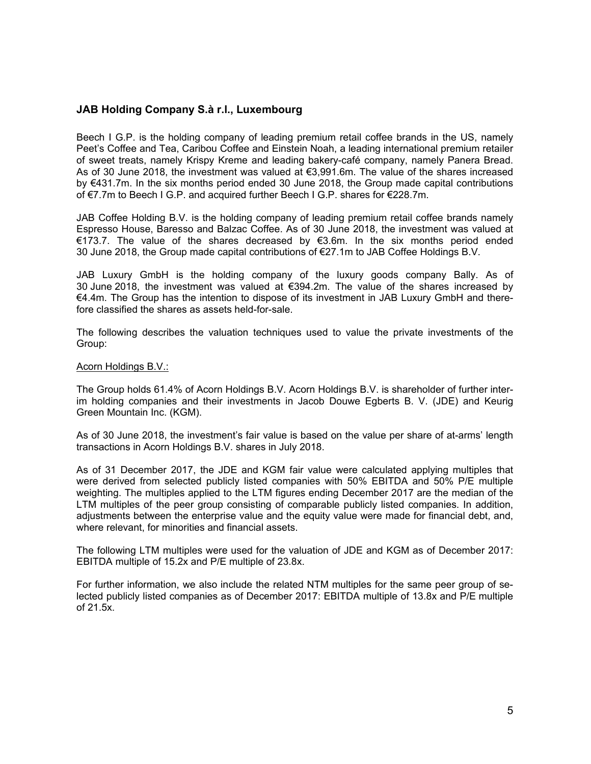Beech I G.P. is the holding company of leading premium retail coffee brands in the US, namely Peet's Coffee and Tea, Caribou Coffee and Einstein Noah, a leading international premium retailer of sweet treats, namely Krispy Kreme and leading bakery-café company, namely Panera Bread. As of 30 June 2018, the investment was valued at €3,991.6m. The value of the shares increased by €431.7m. In the six months period ended 30 June 2018, the Group made capital contributions of €7.7m to Beech I G.P. and acquired further Beech I G.P. shares for €228.7m.

JAB Coffee Holding B.V. is the holding company of leading premium retail coffee brands namely Espresso House, Baresso and Balzac Coffee. As of 30 June 2018, the investment was valued at €173.7. The value of the shares decreased by €3.6m. In the six months period ended 30 June 2018, the Group made capital contributions of €27.1m to JAB Coffee Holdings B.V.

JAB Luxury GmbH is the holding company of the luxury goods company Bally. As of 30 June 2018, the investment was valued at €394.2m. The value of the shares increased by €4.4m. The Group has the intention to dispose of its investment in JAB Luxury GmbH and therefore classified the shares as assets held-for-sale.

The following describes the valuation techniques used to value the private investments of the Group:

#### Acorn Holdings B.V.:

The Group holds 61.4% of Acorn Holdings B.V. Acorn Holdings B.V. is shareholder of further interim holding companies and their investments in Jacob Douwe Egberts B. V. (JDE) and Keurig Green Mountain Inc. (KGM).

As of 30 June 2018, the investment's fair value is based on the value per share of at-arms' length transactions in Acorn Holdings B.V. shares in July 2018.

As of 31 December 2017, the JDE and KGM fair value were calculated applying multiples that were derived from selected publicly listed companies with 50% EBITDA and 50% P/E multiple weighting. The multiples applied to the LTM figures ending December 2017 are the median of the LTM multiples of the peer group consisting of comparable publicly listed companies. In addition, adjustments between the enterprise value and the equity value were made for financial debt, and, where relevant, for minorities and financial assets.

The following LTM multiples were used for the valuation of JDE and KGM as of December 2017: EBITDA multiple of 15.2x and P/E multiple of 23.8x.

For further information, we also include the related NTM multiples for the same peer group of selected publicly listed companies as of December 2017: EBITDA multiple of 13.8x and P/E multiple of 21.5x.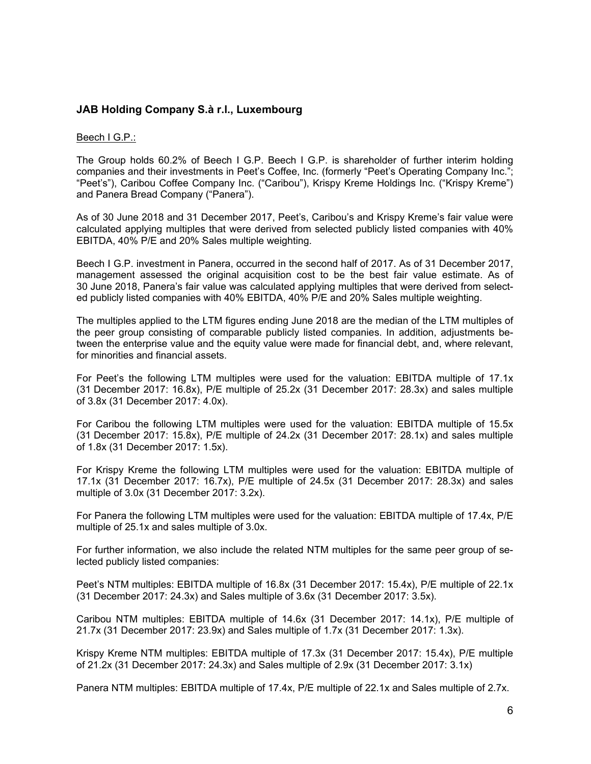#### Beech I G.P.:

The Group holds 60.2% of Beech I G.P. Beech I G.P. is shareholder of further interim holding companies and their investments in Peet's Coffee, Inc. (formerly "Peet's Operating Company Inc."; "Peet's"), Caribou Coffee Company Inc. ("Caribou"), Krispy Kreme Holdings Inc. ("Krispy Kreme") and Panera Bread Company ("Panera").

As of 30 June 2018 and 31 December 2017, Peet's, Caribou's and Krispy Kreme's fair value were calculated applying multiples that were derived from selected publicly listed companies with 40% EBITDA, 40% P/E and 20% Sales multiple weighting.

Beech I G.P. investment in Panera, occurred in the second half of 2017. As of 31 December 2017, management assessed the original acquisition cost to be the best fair value estimate. As of 30 June 2018, Panera's fair value was calculated applying multiples that were derived from selected publicly listed companies with 40% EBITDA, 40% P/E and 20% Sales multiple weighting.

The multiples applied to the LTM figures ending June 2018 are the median of the LTM multiples of the peer group consisting of comparable publicly listed companies. In addition, adjustments between the enterprise value and the equity value were made for financial debt, and, where relevant, for minorities and financial assets.

For Peet's the following LTM multiples were used for the valuation: EBITDA multiple of 17.1x (31 December 2017: 16.8x), P/E multiple of 25.2x (31 December 2017: 28.3x) and sales multiple of 3.8x (31 December 2017: 4.0x).

For Caribou the following LTM multiples were used for the valuation: EBITDA multiple of 15.5x (31 December 2017: 15.8x), P/E multiple of 24.2x (31 December 2017: 28.1x) and sales multiple of 1.8x (31 December 2017: 1.5x).

For Krispy Kreme the following LTM multiples were used for the valuation: EBITDA multiple of 17.1x (31 December 2017: 16.7x), P/E multiple of 24.5x (31 December 2017: 28.3x) and sales multiple of 3.0x (31 December 2017: 3.2x).

For Panera the following LTM multiples were used for the valuation: EBITDA multiple of 17.4x, P/E multiple of 25.1x and sales multiple of 3.0x.

For further information, we also include the related NTM multiples for the same peer group of selected publicly listed companies:

Peet's NTM multiples: EBITDA multiple of 16.8x (31 December 2017: 15.4x), P/E multiple of 22.1x (31 December 2017: 24.3x) and Sales multiple of 3.6x (31 December 2017: 3.5x).

Caribou NTM multiples: EBITDA multiple of 14.6x (31 December 2017: 14.1x), P/E multiple of 21.7x (31 December 2017: 23.9x) and Sales multiple of 1.7x (31 December 2017: 1.3x).

Krispy Kreme NTM multiples: EBITDA multiple of 17.3x (31 December 2017: 15.4x), P/E multiple of 21.2x (31 December 2017: 24.3x) and Sales multiple of 2.9x (31 December 2017: 3.1x)

Panera NTM multiples: EBITDA multiple of 17.4x, P/E multiple of 22.1x and Sales multiple of 2.7x.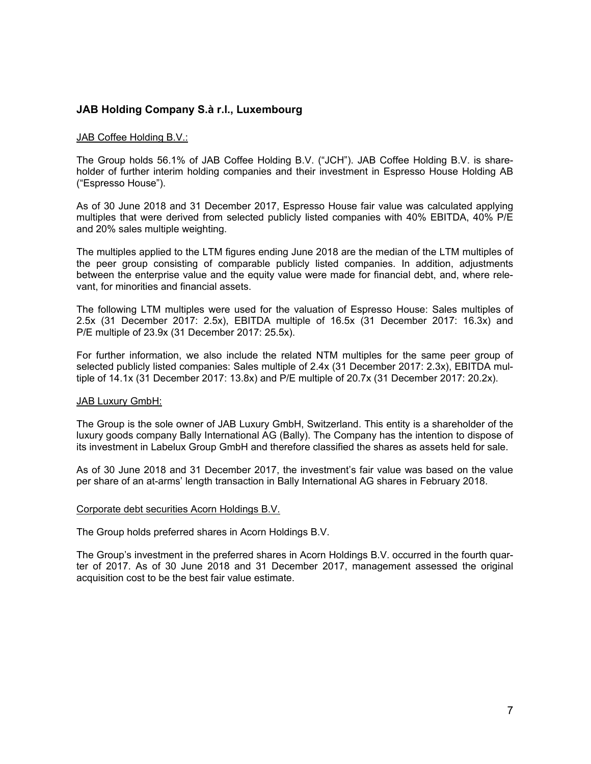#### JAB Coffee Holding B.V.:

The Group holds 56.1% of JAB Coffee Holding B.V. ("JCH"). JAB Coffee Holding B.V. is shareholder of further interim holding companies and their investment in Espresso House Holding AB ("Espresso House").

As of 30 June 2018 and 31 December 2017, Espresso House fair value was calculated applying multiples that were derived from selected publicly listed companies with 40% EBITDA, 40% P/E and 20% sales multiple weighting.

The multiples applied to the LTM figures ending June 2018 are the median of the LTM multiples of the peer group consisting of comparable publicly listed companies. In addition, adjustments between the enterprise value and the equity value were made for financial debt, and, where relevant, for minorities and financial assets.

The following LTM multiples were used for the valuation of Espresso House: Sales multiples of 2.5x (31 December 2017: 2.5x), EBITDA multiple of 16.5x (31 December 2017: 16.3x) and P/E multiple of 23.9x (31 December 2017: 25.5x).

For further information, we also include the related NTM multiples for the same peer group of selected publicly listed companies: Sales multiple of 2.4x (31 December 2017: 2.3x), EBITDA multiple of 14.1x (31 December 2017: 13.8x) and P/E multiple of 20.7x (31 December 2017: 20.2x).

#### JAB Luxury GmbH:

The Group is the sole owner of JAB Luxury GmbH, Switzerland. This entity is a shareholder of the luxury goods company Bally International AG (Bally). The Company has the intention to dispose of its investment in Labelux Group GmbH and therefore classified the shares as assets held for sale.

As of 30 June 2018 and 31 December 2017, the investment's fair value was based on the value per share of an at-arms' length transaction in Bally International AG shares in February 2018.

#### Corporate debt securities Acorn Holdings B.V.

The Group holds preferred shares in Acorn Holdings B.V.

The Group's investment in the preferred shares in Acorn Holdings B.V. occurred in the fourth quarter of 2017. As of 30 June 2018 and 31 December 2017, management assessed the original acquisition cost to be the best fair value estimate.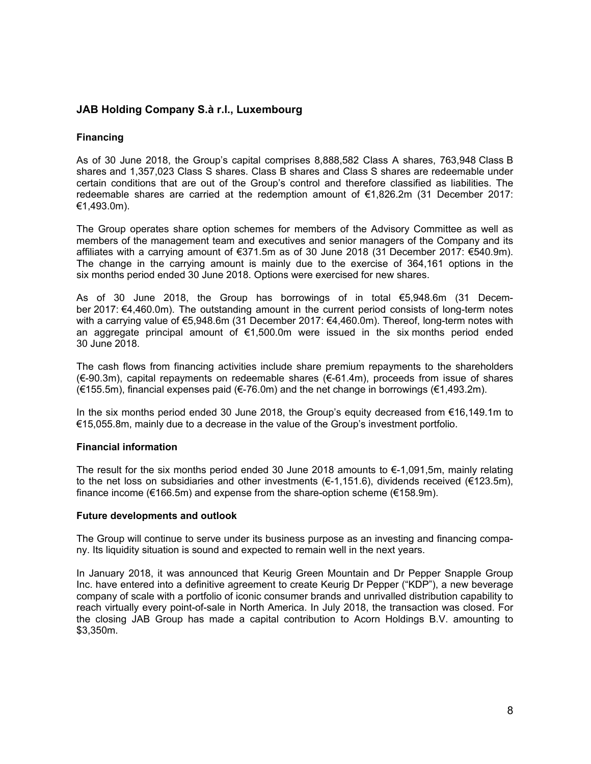#### **Financing**

As of 30 June 2018, the Group's capital comprises 8,888,582 Class A shares, 763,948 Class B shares and 1,357,023 Class S shares. Class B shares and Class S shares are redeemable under certain conditions that are out of the Group's control and therefore classified as liabilities. The redeemable shares are carried at the redemption amount of €1,826.2m (31 December 2017: €1,493.0m).

The Group operates share option schemes for members of the Advisory Committee as well as members of the management team and executives and senior managers of the Company and its affiliates with a carrying amount of €371.5m as of 30 June 2018 (31 December 2017: €540.9m). The change in the carrying amount is mainly due to the exercise of 364,161 options in the six months period ended 30 June 2018. Options were exercised for new shares.

As of 30 June 2018, the Group has borrowings of in total €5,948.6m (31 December 2017: €4,460.0m). The outstanding amount in the current period consists of long-term notes with a carrying value of €5,948.6m (31 December 2017: €4,460.0m). Thereof, long-term notes with an aggregate principal amount of  $\epsilon$ 1,500.0m were issued in the six months period ended 30 June 2018.

The cash flows from financing activities include share premium repayments to the shareholders (€-90.3m), capital repayments on redeemable shares (€-61.4m), proceeds from issue of shares (€155.5m), financial expenses paid (€-76.0m) and the net change in borrowings (€1,493.2m).

In the six months period ended 30 June 2018, the Group's equity decreased from €16,149.1m to €15,055.8m, mainly due to a decrease in the value of the Group's investment portfolio.

#### **Financial information**

The result for the six months period ended 30 June 2018 amounts to  $\epsilon$ -1,091,5m, mainly relating to the net loss on subsidiaries and other investments ( $\epsilon$ -1,151.6), dividends received ( $\epsilon$ 123.5m), finance income (€166.5m) and expense from the share-option scheme (€158.9m).

#### **Future developments and outlook**

The Group will continue to serve under its business purpose as an investing and financing company. Its liquidity situation is sound and expected to remain well in the next years.

In January 2018, it was announced that Keurig Green Mountain and Dr Pepper Snapple Group Inc. have entered into a definitive agreement to create Keurig Dr Pepper ("KDP"), a new beverage company of scale with a portfolio of iconic consumer brands and unrivalled distribution capability to reach virtually every point-of-sale in North America. In July 2018, the transaction was closed. For the closing JAB Group has made a capital contribution to Acorn Holdings B.V. amounting to \$3,350m.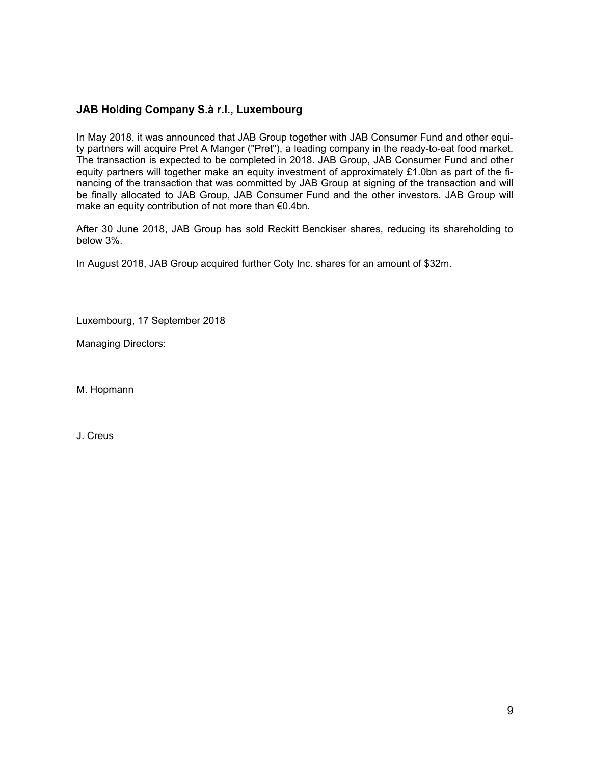In May 2018, it was announced that JAB Group together with JAB Consumer Fund and other equity partners will acquire Pret A Manger ("Pret"), a leading company in the ready-to-eat food market. The transaction is expected to be completed in 2018. JAB Group, JAB Consumer Fund and other equity partners will together make an equity investment of approximately £1.0bn as part of the financing of the transaction that was committed by JAB Group at signing of the transaction and will be finally allocated to JAB Group, JAB Consumer Fund and the other investors. JAB Group will make an equity contribution of not more than €0.4bn.

After 30 June 2018, JAB Group has sold Reckitt Benckiser shares, reducing its shareholding to below 3%.

In August 2018, JAB Group acquired further Coty Inc. shares for an amount of \$32m.

Luxembourg, 17 September 2018

Managing Directors:

M. Hopmann

J. Creus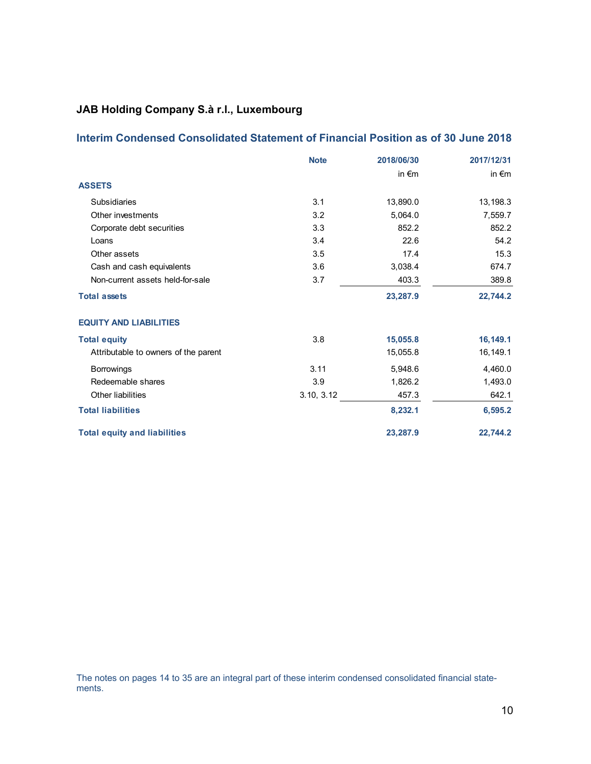## **Interim Condensed Consolidated Statement of Financial Position as of 30 June 2018**

|                                      | <b>Note</b> | 2018/06/30      | 2017/12/31      |
|--------------------------------------|-------------|-----------------|-----------------|
|                                      |             | in $\epsilon$ m | in $\epsilon$ m |
| <b>ASSETS</b>                        |             |                 |                 |
| <b>Subsidiaries</b>                  | 3.1         | 13,890.0        | 13,198.3        |
| Other investments                    | 3.2         | 5,064.0         | 7,559.7         |
| Corporate debt securities            | 3.3         | 852.2           | 852.2           |
| Loans                                | 3.4         | 22.6            | 54.2            |
| Other assets                         | 3.5         | 17.4            | 15.3            |
| Cash and cash equivalents            | 3.6         | 3,038.4         | 674.7           |
| Non-current assets held-for-sale     | 3.7         | 403.3           | 389.8           |
| <b>Total assets</b>                  |             | 23,287.9        | 22,744.2        |
| <b>EQUITY AND LIABILITIES</b>        |             |                 |                 |
| <b>Total equity</b>                  | 3.8         | 15,055.8        | 16,149.1        |
| Attributable to owners of the parent |             | 15,055.8        | 16,149.1        |
| <b>Borrowings</b>                    | 3.11        | 5,948.6         | 4,460.0         |
| Redeemable shares                    | 3.9         | 1,826.2         | 1,493.0         |
| <b>Other liabilities</b>             | 3.10, 3.12  | 457.3           | 642.1           |
| <b>Total liabilities</b>             |             | 8,232.1         | 6,595.2         |
| <b>Total equity and liabilities</b>  |             | 23,287.9        | 22.744.2        |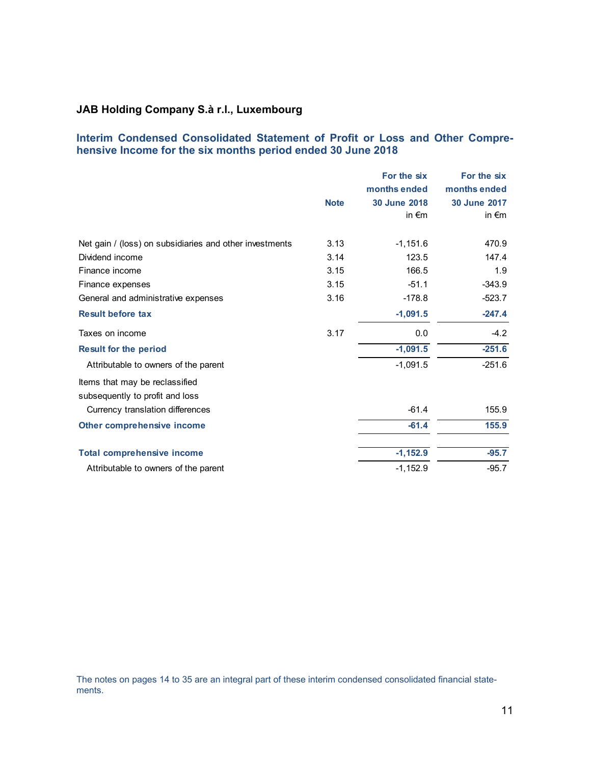### **Interim Condensed Consolidated Statement of Profit or Loss and Other Comprehensive Income for the six months period ended 30 June 2018**

|                                                         |             | For the six     | For the six     |
|---------------------------------------------------------|-------------|-----------------|-----------------|
|                                                         |             | months ended    | months ended    |
|                                                         | <b>Note</b> | 30 June 2018    | 30 June 2017    |
|                                                         |             | in $\epsilon$ m | in $\epsilon$ m |
| Net gain / (loss) on subsidiaries and other investments | 3.13        | $-1,151.6$      | 470.9           |
| Dividend income                                         | 3.14        | 123.5           | 147.4           |
| Finance income                                          | 3.15        | 166.5           | 1.9             |
| Finance expenses                                        | 3.15        | $-51.1$         | $-343.9$        |
| General and administrative expenses                     | 3.16        | $-178.8$        | $-523.7$        |
| <b>Result before tax</b>                                |             | $-1,091.5$      | $-247.4$        |
| Taxes on income                                         | 3.17        | 0.0             | $-4.2$          |
| <b>Result for the period</b>                            |             | $-1,091.5$      | $-251.6$        |
| Attributable to owners of the parent                    |             | $-1,091.5$      | $-251.6$        |
| Items that may be reclassified                          |             |                 |                 |
| subsequently to profit and loss                         |             |                 |                 |
| Currency translation differences                        |             | $-61.4$         | 155.9           |
| Other comprehensive income                              |             | $-61.4$         | 155.9           |
| <b>Total comprehensive income</b>                       |             | $-1,152.9$      | $-95.7$         |
| Attributable to owners of the parent                    |             | $-1,152.9$      | $-95.7$         |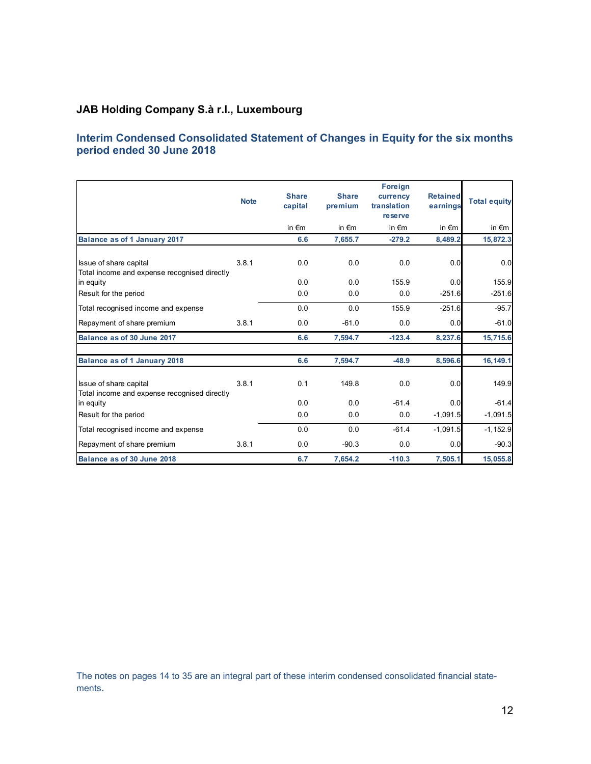## **Interim Condensed Consolidated Statement of Changes in Equity for the six months period ended 30 June 2018**

|                                                                        | <b>Note</b> | <b>Share</b><br>capital | <b>Share</b><br>premium | <b>Foreign</b><br>currency<br>translation<br>reserve | <b>Retained</b><br>earnings | <b>Total equity</b> |
|------------------------------------------------------------------------|-------------|-------------------------|-------------------------|------------------------------------------------------|-----------------------------|---------------------|
|                                                                        |             | in $\epsilon$ m         | in $\epsilon$ m         | in $\epsilon$ m                                      | in $\epsilon$ m             | in $\epsilon$ m     |
| Balance as of 1 January 2017                                           |             | 6.6                     | 7,655.7                 | $-279.2$                                             | 8.489.2                     | 15,872.3            |
| Issue of share capital<br>Total income and expense recognised directly | 3.8.1       | 0.0                     | 0.0                     | 0.0                                                  | 0.0                         | 0.0                 |
| in equity                                                              |             | 0.0                     | 0.0                     | 155.9                                                | 0.0                         | 155.9               |
| Result for the period                                                  |             | 0.0                     | 0.0                     | 0.0                                                  | $-251.6$                    | $-251.6$            |
| Total recognised income and expense                                    |             | 0.0                     | 0.0                     | 155.9                                                | $-251.6$                    | $-95.7$             |
| Repayment of share premium                                             | 3.8.1       | 0.0                     | $-61.0$                 | 0.0                                                  | 0.0                         | $-61.0$             |
| Balance as of 30 June 2017                                             |             | 6.6                     | 7,594.7                 | $-123.4$                                             | 8,237.6                     | 15,715.6            |
| Balance as of 1 January 2018                                           |             | 6.6                     | 7,594.7                 | $-48.9$                                              | 8,596.6                     | 16,149.1            |
| Issue of share capital<br>Total income and expense recognised directly | 3.8.1       | 0.1                     | 149.8                   | 0.0                                                  | 0.0                         | 149.9               |
| in equity                                                              |             | 0.0                     | 0.0                     | $-61.4$                                              | 0.0                         | $-61.4$             |
| Result for the period                                                  |             | 0.0                     | 0.0                     | 0.0                                                  | $-1,091.5$                  | $-1,091.5$          |
| Total recognised income and expense                                    |             | 0.0                     | 0.0                     | $-61.4$                                              | $-1,091.5$                  | $-1,152.9$          |
| Repayment of share premium                                             | 3.8.1       | 0.0                     | $-90.3$                 | 0.0                                                  | 0.0                         | $-90.3$             |
| Balance as of 30 June 2018                                             |             | 6.7                     | 7,654.2                 | $-110.3$                                             | 7,505.1                     | 15,055.8            |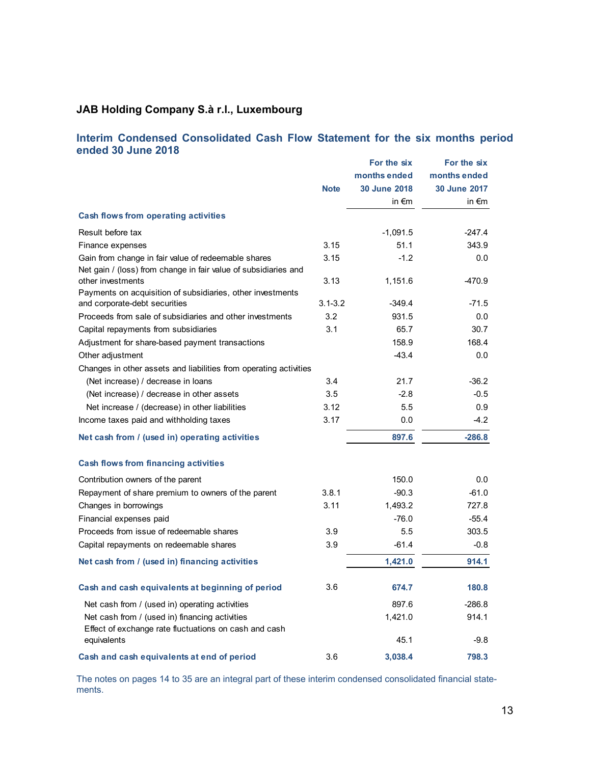### **Interim Condensed Consolidated Cash Flow Statement for the six months period ended 30 June 2018**

|                                                                                             | <b>Note</b> | For the six<br>months ended<br>30 June 2018<br>in $\epsilon$ m | For the six<br>months ended<br>30 June 2017<br>in $\epsilon$ m |
|---------------------------------------------------------------------------------------------|-------------|----------------------------------------------------------------|----------------------------------------------------------------|
| <b>Cash flows from operating activities</b>                                                 |             |                                                                |                                                                |
| Result before tax                                                                           |             | $-1,091.5$                                                     | $-247.4$                                                       |
| Finance expenses                                                                            | 3.15        | 51.1                                                           | 343.9                                                          |
| Gain from change in fair value of redeemable shares                                         | 3.15        | $-1.2$                                                         | 0.0                                                            |
| Net gain / (loss) from change in fair value of subsidiaries and                             |             |                                                                |                                                                |
| other investments                                                                           | 3.13        | 1,151.6                                                        | $-470.9$                                                       |
| Payments on acquisition of subsidiaries, other investments<br>and corporate-debt securities | $3.1 - 3.2$ | $-349.4$                                                       | $-71.5$                                                        |
| Proceeds from sale of subsidiaries and other investments                                    | 3.2         | 931.5                                                          | 0.0                                                            |
| Capital repayments from subsidiaries                                                        | 3.1         | 65.7                                                           | 30.7                                                           |
| Adjustment for share-based payment transactions                                             |             | 158.9                                                          | 168.4                                                          |
| Other adjustment                                                                            |             | $-43.4$                                                        | 0.0                                                            |
| Changes in other assets and liabilities from operating activities                           |             |                                                                |                                                                |
| (Net increase) / decrease in loans                                                          | 3.4         | 21.7                                                           | $-36.2$                                                        |
| (Net increase) / decrease in other assets                                                   | 3.5         | $-2.8$                                                         | $-0.5$                                                         |
| Net increase / (decrease) in other liabilities                                              | 3.12        | 5.5                                                            | 0.9                                                            |
| Income taxes paid and withholding taxes                                                     | 3.17        | 0.0                                                            | -4.2                                                           |
|                                                                                             |             |                                                                |                                                                |
| Net cash from / (used in) operating activities                                              |             | 897.6                                                          | $-286.8$                                                       |
| <b>Cash flows from financing activities</b>                                                 |             |                                                                |                                                                |
| Contribution owners of the parent                                                           |             | 150.0                                                          | 0.0                                                            |
| Repayment of share premium to owners of the parent                                          | 3.8.1       | $-90.3$                                                        | $-61.0$                                                        |
| Changes in borrowings                                                                       | 3.11        | 1,493.2                                                        | 727.8                                                          |
| Financial expenses paid                                                                     |             | $-76.0$                                                        | $-55.4$                                                        |
| Proceeds from issue of redeemable shares                                                    | 3.9         | 5.5                                                            | 303.5                                                          |
| Capital repayments on redeemable shares                                                     | 3.9         | $-61.4$                                                        | -0.8                                                           |
| Net cash from / (used in) financing activities                                              |             | 1,421.0                                                        | 914.1                                                          |
| Cash and cash equivalents at beginning of period                                            | 3.6         | 674.7                                                          | 180.8                                                          |
| Net cash from / (used in) operating activities                                              |             | 897.6                                                          | $-286.8$                                                       |
| Net cash from / (used in) financing activities                                              |             | 1,421.0                                                        | 914.1                                                          |
| Effect of exchange rate fluctuations on cash and cash                                       |             |                                                                |                                                                |
| equivalents                                                                                 |             | 45.1                                                           | -9.8                                                           |
| Cash and cash equivalents at end of period                                                  | 3.6         | 3,038.4                                                        | 798.3                                                          |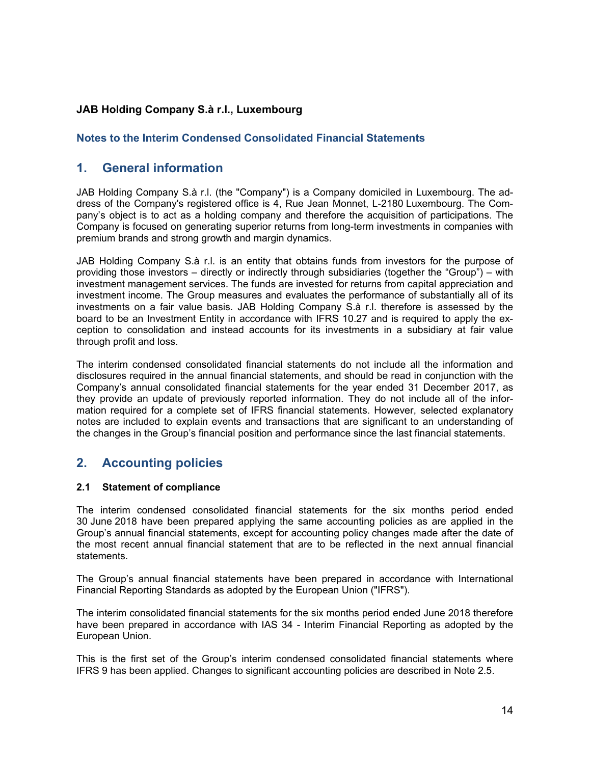## **Notes to the Interim Condensed Consolidated Financial Statements**

## **1. General information**

JAB Holding Company S.à r.l. (the "Company") is a Company domiciled in Luxembourg. The address of the Company's registered office is 4, Rue Jean Monnet, L-2180 Luxembourg. The Company's object is to act as a holding company and therefore the acquisition of participations. The Company is focused on generating superior returns from long-term investments in companies with premium brands and strong growth and margin dynamics.

JAB Holding Company S.à r.l. is an entity that obtains funds from investors for the purpose of providing those investors – directly or indirectly through subsidiaries (together the "Group") – with investment management services. The funds are invested for returns from capital appreciation and investment income. The Group measures and evaluates the performance of substantially all of its investments on a fair value basis. JAB Holding Company S.à r.l. therefore is assessed by the board to be an Investment Entity in accordance with IFRS 10.27 and is required to apply the exception to consolidation and instead accounts for its investments in a subsidiary at fair value through profit and loss.

The interim condensed consolidated financial statements do not include all the information and disclosures required in the annual financial statements, and should be read in conjunction with the Company's annual consolidated financial statements for the year ended 31 December 2017, as they provide an update of previously reported information. They do not include all of the information required for a complete set of IFRS financial statements. However, selected explanatory notes are included to explain events and transactions that are significant to an understanding of the changes in the Group's financial position and performance since the last financial statements.

## **2. Accounting policies**

#### **2.1 Statement of compliance**

The interim condensed consolidated financial statements for the six months period ended 30 June 2018 have been prepared applying the same accounting policies as are applied in the Group's annual financial statements, except for accounting policy changes made after the date of the most recent annual financial statement that are to be reflected in the next annual financial statements.

The Group's annual financial statements have been prepared in accordance with International Financial Reporting Standards as adopted by the European Union ("IFRS").

The interim consolidated financial statements for the six months period ended June 2018 therefore have been prepared in accordance with IAS 34 - Interim Financial Reporting as adopted by the European Union.

This is the first set of the Group's interim condensed consolidated financial statements where IFRS 9 has been applied. Changes to significant accounting policies are described in Note 2.5.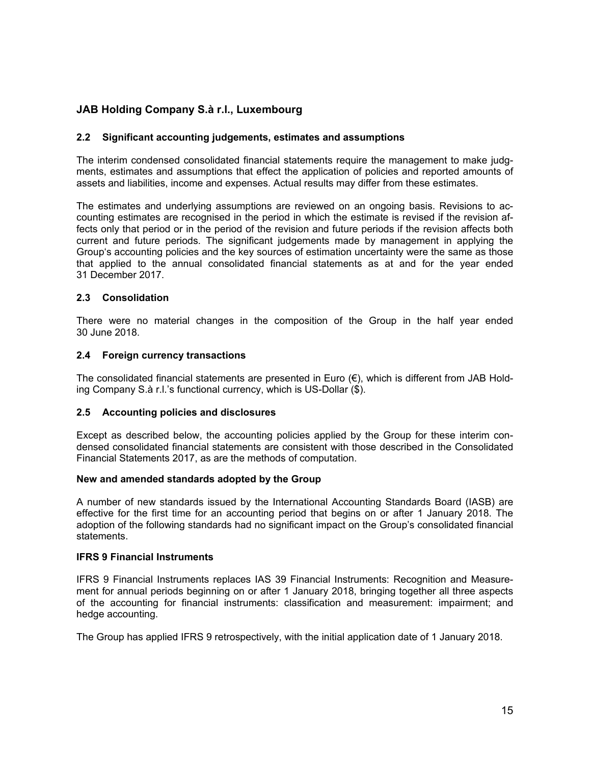### **2.2 Significant accounting judgements, estimates and assumptions**

The interim condensed consolidated financial statements require the management to make judgments, estimates and assumptions that effect the application of policies and reported amounts of assets and liabilities, income and expenses. Actual results may differ from these estimates.

The estimates and underlying assumptions are reviewed on an ongoing basis. Revisions to accounting estimates are recognised in the period in which the estimate is revised if the revision affects only that period or in the period of the revision and future periods if the revision affects both current and future periods. The significant judgements made by management in applying the Group's accounting policies and the key sources of estimation uncertainty were the same as those that applied to the annual consolidated financial statements as at and for the year ended 31 December 2017.

#### **2.3 Consolidation**

There were no material changes in the composition of the Group in the half year ended 30 June 2018.

#### **2.4 Foreign currency transactions**

The consolidated financial statements are presented in Euro  $(\epsilon)$ , which is different from JAB Holding Company S.à r.l.'s functional currency, which is US-Dollar (\$).

#### **2.5 Accounting policies and disclosures**

Except as described below, the accounting policies applied by the Group for these interim condensed consolidated financial statements are consistent with those described in the Consolidated Financial Statements 2017, as are the methods of computation.

#### **New and amended standards adopted by the Group**

A number of new standards issued by the International Accounting Standards Board (IASB) are effective for the first time for an accounting period that begins on or after 1 January 2018. The adoption of the following standards had no significant impact on the Group's consolidated financial statements.

#### **IFRS 9 Financial Instruments**

IFRS 9 Financial Instruments replaces IAS 39 Financial Instruments: Recognition and Measurement for annual periods beginning on or after 1 January 2018, bringing together all three aspects of the accounting for financial instruments: classification and measurement: impairment; and hedge accounting.

The Group has applied IFRS 9 retrospectively, with the initial application date of 1 January 2018.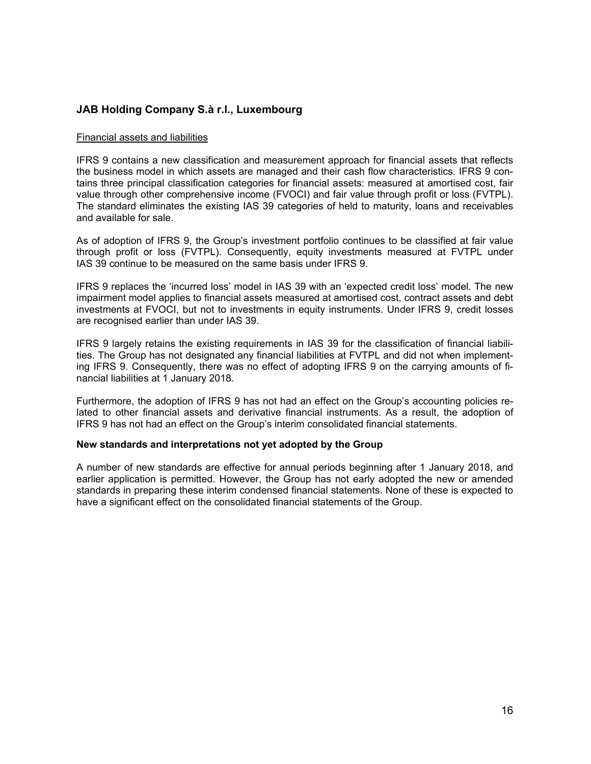#### Financial assets and liabilities

IFRS 9 contains a new classification and measurement approach for financial assets that reflects the business model in which assets are managed and their cash flow characteristics. IFRS 9 contains three principal classification categories for financial assets: measured at amortised cost, fair value through other comprehensive income (FVOCI) and fair value through profit or loss (FVTPL). The standard eliminates the existing IAS 39 categories of held to maturity, loans and receivables and available for sale.

As of adoption of IFRS 9, the Group's investment portfolio continues to be classified at fair value through profit or loss (FVTPL). Consequently, equity investments measured at FVTPL under IAS 39 continue to be measured on the same basis under IFRS 9.

IFRS 9 replaces the 'incurred loss' model in IAS 39 with an 'expected credit loss' model. The new impairment model applies to financial assets measured at amortised cost, contract assets and debt investments at FVOCI, but not to investments in equity instruments. Under IFRS 9, credit losses are recognised earlier than under IAS 39.

IFRS 9 largely retains the existing requirements in IAS 39 for the classification of financial liabilities. The Group has not designated any financial liabilities at FVTPL and did not when implementing IFRS 9. Consequently, there was no effect of adopting IFRS 9 on the carrying amounts of financial liabilities at 1 January 2018.

Furthermore, the adoption of IFRS 9 has not had an effect on the Group's accounting policies related to other financial assets and derivative financial instruments. As a result, the adoption of IFRS 9 has not had an effect on the Group's interim consolidated financial statements.

#### **New standards and interpretations not yet adopted by the Group**

A number of new standards are effective for annual periods beginning after 1 January 2018, and earlier application is permitted. However, the Group has not early adopted the new or amended standards in preparing these interim condensed financial statements. None of these is expected to have a significant effect on the consolidated financial statements of the Group.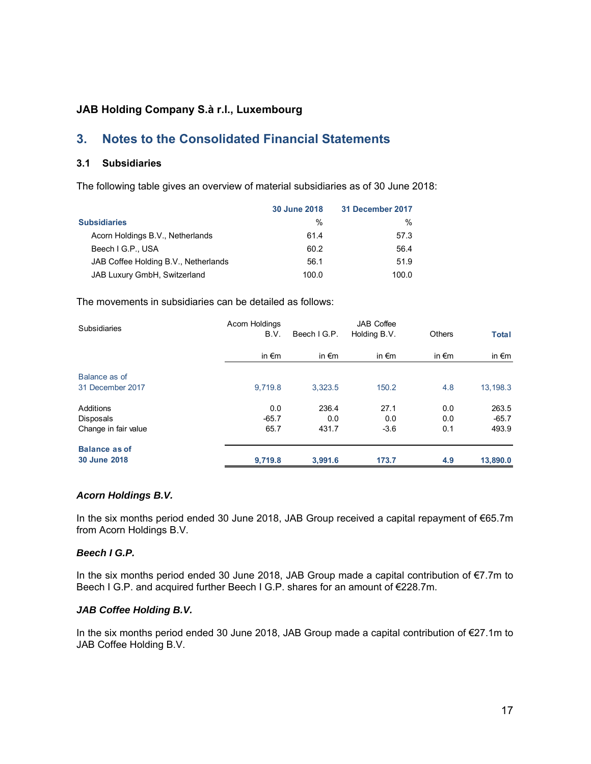## **3. Notes to the Consolidated Financial Statements**

#### **3.1 Subsidiaries**

The following table gives an overview of material subsidiaries as of 30 June 2018:

|                                      | <b>30 June 2018</b> | 31 December 2017 |
|--------------------------------------|---------------------|------------------|
| <b>Subsidiaries</b>                  | $\frac{0}{0}$       | $\frac{0}{0}$    |
| Acorn Holdings B.V., Netherlands     | 61.4                | 57.3             |
| Beech I G.P., USA                    | 60.2                | 56.4             |
| JAB Coffee Holding B.V., Netherlands | 56.1                | 51.9             |
| JAB Luxury GmbH, Switzerland         | 100.0               | 100.0            |

The movements in subsidiaries can be detailed as follows:

| <b>Subsidiaries</b>                                   | Acorn Holdings<br>B.V. | Beech I G.P.          | <b>JAB</b> Coffee<br>Holding B.V. | <b>Others</b>     | <b>Total</b>              |
|-------------------------------------------------------|------------------------|-----------------------|-----------------------------------|-------------------|---------------------------|
|                                                       | in $\epsilon$ m        | in $\epsilon$ m       | in $\epsilon$ m                   | in $\epsilon$ m   | in $\epsilon$ m           |
| Balance as of<br>31 December 2017                     | 9.719.8                | 3,323.5               | 150.2                             | 4.8               | 13,198.3                  |
| <b>Additions</b><br>Disposals<br>Change in fair value | 0.0<br>$-65.7$<br>65.7 | 236.4<br>0.0<br>431.7 | 27.1<br>0.0<br>$-3.6$             | 0.0<br>0.0<br>0.1 | 263.5<br>$-65.7$<br>493.9 |
| <b>Balance as of</b><br>30 June 2018                  | 9,719.8                | 3,991.6               | 173.7                             | 4.9               | 13,890.0                  |

#### *Acorn Holdings B.V.*

In the six months period ended 30 June 2018, JAB Group received a capital repayment of €65.7m from Acorn Holdings B.V.

#### *Beech I G.P.*

In the six months period ended 30 June 2018, JAB Group made a capital contribution of €7.7m to Beech I G.P. and acquired further Beech I G.P. shares for an amount of €228.7m.

#### *JAB Coffee Holding B.V.*

In the six months period ended 30 June 2018, JAB Group made a capital contribution of €27.1m to JAB Coffee Holding B.V.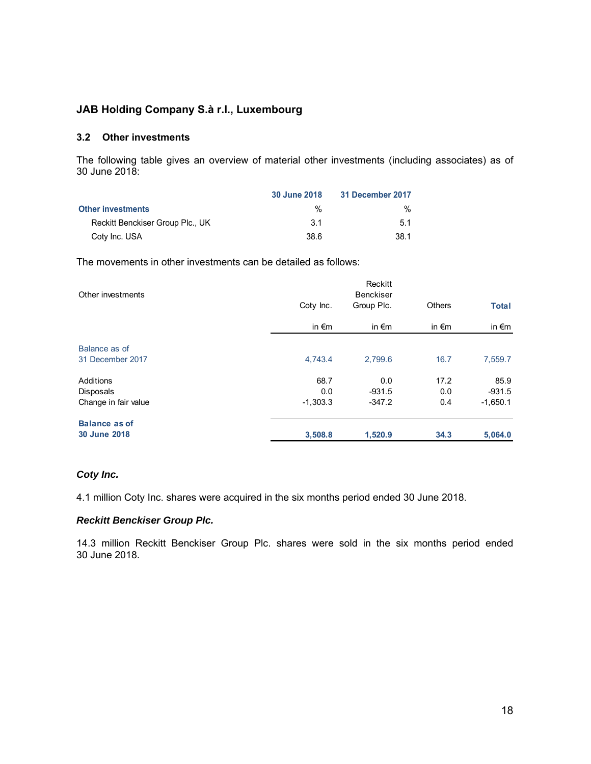#### **3.2 Other investments**

The following table gives an overview of material other investments (including associates) as of 30 June 2018:

|                                  | 30 June 2018 | 31 December 2017 |
|----------------------------------|--------------|------------------|
| <b>Other investments</b>         | %            | ℅                |
| Reckitt Benckiser Group Plc., UK | 3 1          | 51               |
| Coty Inc. USA                    | 38.6         | 38.1             |

The movements in other investments can be detailed as follows:

| Other investments                                     |                           | Reckitt<br><b>Benckiser</b> |                    |                                |
|-------------------------------------------------------|---------------------------|-----------------------------|--------------------|--------------------------------|
|                                                       | Coty Inc.                 | Group Plc.                  | Others             | <b>Total</b>                   |
|                                                       | in $\epsilon$ m           | in $\epsilon$ m             | in $\epsilon$ m    | in $\epsilon$ m                |
| Balance as of<br>31 December 2017                     | 4,743.4                   | 2,799.6                     | 16.7               | 7,559.7                        |
| Additions<br><b>Disposals</b><br>Change in fair value | 68.7<br>0.0<br>$-1,303.3$ | 0.0<br>$-931.5$<br>$-347.2$ | 17.2<br>0.0<br>0.4 | 85.9<br>$-931.5$<br>$-1,650.1$ |
| <b>Balance as of</b><br>30 June 2018                  | 3,508.8                   | 1,520.9                     | 34.3               | 5,064.0                        |

#### *Coty Inc.*

4.1 million Coty Inc. shares were acquired in the six months period ended 30 June 2018.

#### *Reckitt Benckiser Group Plc.*

14.3 million Reckitt Benckiser Group Plc. shares were sold in the six months period ended 30 June 2018.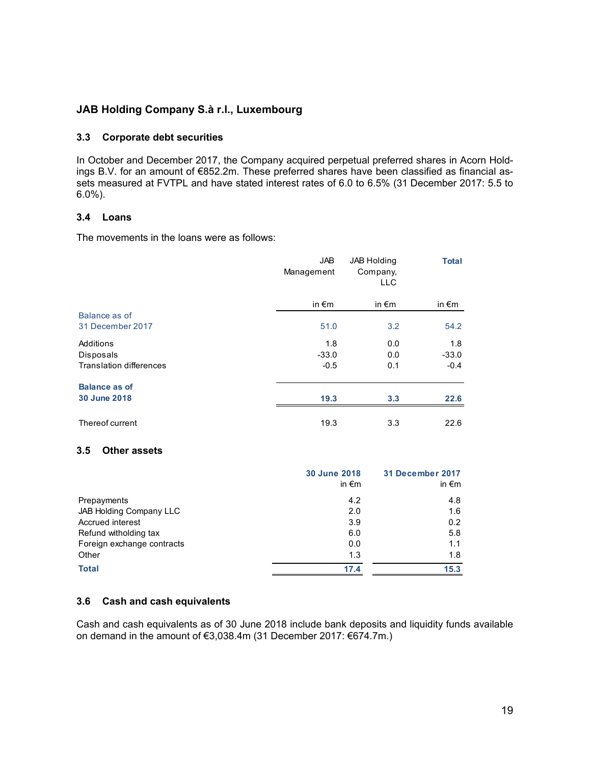#### **3.3 Corporate debt securities**

In October and December 2017, the Company acquired perpetual preferred shares in Acorn Holdings B.V. for an amount of €852.2m. These preferred shares have been classified as financial assets measured at FVTPL and have stated interest rates of 6.0 to 6.5% (31 December 2017: 5.5 to 6.0%).

#### **3.4 Loans**

The movements in the loans were as follows:

|                                | <b>JAB</b><br>Management | JAB Holding<br>Company,<br><b>LLC</b> | <b>Total</b>    |
|--------------------------------|--------------------------|---------------------------------------|-----------------|
|                                | in $\epsilon$ m          | in $\epsilon$ m                       | in $\epsilon$ m |
| Balance as of                  |                          |                                       |                 |
| 31 December 2017               | 51.0                     | 3.2                                   | 54.2            |
| Additions                      | 1.8                      | 0.0                                   | 1.8             |
| Disposals                      | $-33.0$                  | 0.0                                   | $-33.0$         |
| <b>Translation differences</b> | $-0.5$                   | 0.1                                   | $-0.4$          |
| <b>Balance as of</b>           |                          |                                       |                 |
| 30 June 2018                   | 19.3                     | 3.3                                   | 22.6            |
| Thereof current                | 19.3                     | 3.3                                   | 22.6            |

#### **3.5 Other assets**

|                            | 30 June 2018<br>in $\epsilon$ m | 31 December 2017<br>in $\epsilon$ m |
|----------------------------|---------------------------------|-------------------------------------|
| Prepayments                | 4.2                             | 4.8                                 |
| JAB Holding Company LLC    | 2.0                             | 1.6                                 |
| Accrued interest           | 3.9                             | 0.2                                 |
| Refund witholding tax      | 6.0                             | 5.8                                 |
| Foreign exchange contracts | 0.0                             | 1.1                                 |
| Other                      | 1.3                             | 1.8                                 |
| <b>Total</b>               | 17.4                            | 15.3                                |

#### **3.6 Cash and cash equivalents**

Cash and cash equivalents as of 30 June 2018 include bank deposits and liquidity funds available on demand in the amount of €3,038.4m (31 December 2017: €674.7m.)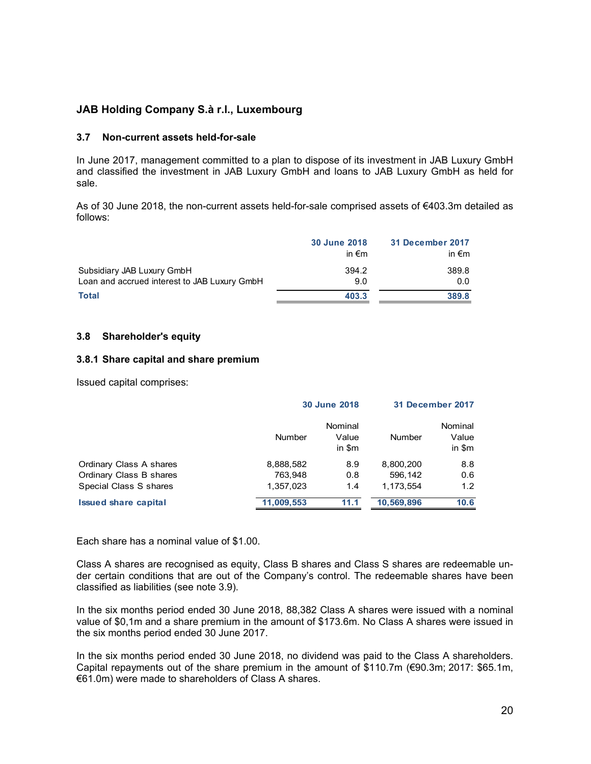#### **3.7 Non-current assets held-for-sale**

In June 2017, management committed to a plan to dispose of its investment in JAB Luxury GmbH and classified the investment in JAB Luxury GmbH and loans to JAB Luxury GmbH as held for sale.

As of 30 June 2018, the non-current assets held-for-sale comprised assets of €403.3m detailed as follows:

|                                              | <b>30 June 2018</b><br>in $\epsilon$ m | 31 December 2017<br>in $\epsilon$ m |
|----------------------------------------------|----------------------------------------|-------------------------------------|
| Subsidiary JAB Luxury GmbH                   | 394.2                                  | 389.8                               |
| Loan and accrued interest to JAB Luxury GmbH | 9.0                                    | 0.0                                 |
| <b>Total</b>                                 | 403.3                                  | 389.8                               |

#### **3.8 Shareholder's equity**

#### **3.8.1 Share capital and share premium**

Issued capital comprises:

|                             |            | <b>30 June 2018</b>        |               | <b>31 December 2017</b>    |
|-----------------------------|------------|----------------------------|---------------|----------------------------|
|                             | Number     | Nominal<br>Value<br>in \$m | <b>Number</b> | Nominal<br>Value<br>in \$m |
| Ordinary Class A shares     | 8,888,582  | 8.9                        | 8,800,200     | 8.8                        |
| Ordinary Class B shares     | 763.948    | 0.8                        | 596.142       | 0.6                        |
| Special Class S shares      | 1,357,023  | 1.4                        | 1.173.554     | 1.2                        |
| <b>Issued share capital</b> | 11,009,553 | 11.1                       | 10,569,896    | 10.6                       |

Each share has a nominal value of \$1.00.

Class A shares are recognised as equity, Class B shares and Class S shares are redeemable under certain conditions that are out of the Company's control. The redeemable shares have been classified as liabilities (see note 3.9).

In the six months period ended 30 June 2018, 88,382 Class A shares were issued with a nominal value of \$0,1m and a share premium in the amount of \$173.6m. No Class A shares were issued in the six months period ended 30 June 2017.

In the six months period ended 30 June 2018, no dividend was paid to the Class A shareholders. Capital repayments out of the share premium in the amount of \$110.7m (€90.3m; 2017: \$65.1m, €61.0m) were made to shareholders of Class A shares.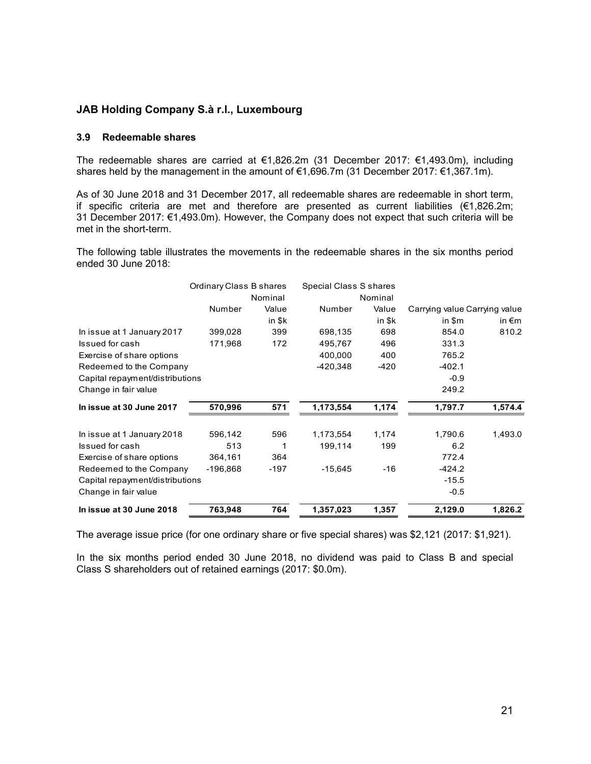#### **3.9 Redeemable shares**

The redeemable shares are carried at €1,826.2m (31 December 2017: €1,493.0m), including shares held by the management in the amount of €1,696.7m (31 December 2017: €1,367.1m).

As of 30 June 2018 and 31 December 2017, all redeemable shares are redeemable in short term, if specific criteria are met and therefore are presented as current liabilities (€1,826.2m; 31 December 2017: €1,493.0m). However, the Company does not expect that such criteria will be met in the short-term.

The following table illustrates the movements in the redeemable shares in the six months period ended 30 June 2018:

|                                 | Ordinary Class B shares |         | Special Class S shares |         |                               |                 |
|---------------------------------|-------------------------|---------|------------------------|---------|-------------------------------|-----------------|
|                                 |                         | Nominal |                        | Nominal |                               |                 |
|                                 | Number                  | Value   | Number                 | Value   | Carrying value Carrying value |                 |
|                                 |                         | in \$k  |                        | in \$k  | in \$m                        | in $\epsilon$ m |
| In issue at 1 January 2017      | 399,028                 | 399     | 698,135                | 698     | 854.0                         | 810.2           |
| Issued for cash                 | 171,968                 | 172     | 495,767                | 496     | 331.3                         |                 |
| Exercise of share options       |                         |         | 400,000                | 400     | 765.2                         |                 |
| Redeemed to the Company         |                         |         | -420,348               | $-420$  | $-402.1$                      |                 |
| Capital repayment/distributions |                         |         |                        |         | $-0.9$                        |                 |
| Change in fair value            |                         |         |                        |         | 249.2                         |                 |
| In issue at 30 June 2017        | 570,996                 | 571     | 1,173,554              | 1,174   | 1,797.7                       | 1,574.4         |
| In issue at 1 January 2018      | 596,142                 | 596     | 1,173,554              | 1,174   | 1,790.6                       | 1,493.0         |
| Issued for cash                 | 513                     | 1       | 199,114                | 199     | 6.2                           |                 |
| Exercise of share options       | 364,161                 | 364     |                        |         | 772.4                         |                 |
| Redeemed to the Company         | -196,868                | -197    | $-15,645$              | -16     | $-424.2$                      |                 |
| Capital repayment/distributions |                         |         |                        |         | $-15.5$                       |                 |
| Change in fair value            |                         |         |                        |         | $-0.5$                        |                 |
| In issue at 30 June 2018        | 763,948                 | 764     | 1,357,023              | 1,357   | 2,129.0                       | 1,826.2         |

The average issue price (for one ordinary share or five special shares) was \$2,121 (2017: \$1,921).

In the six months period ended 30 June 2018, no dividend was paid to Class B and special Class S shareholders out of retained earnings (2017: \$0.0m).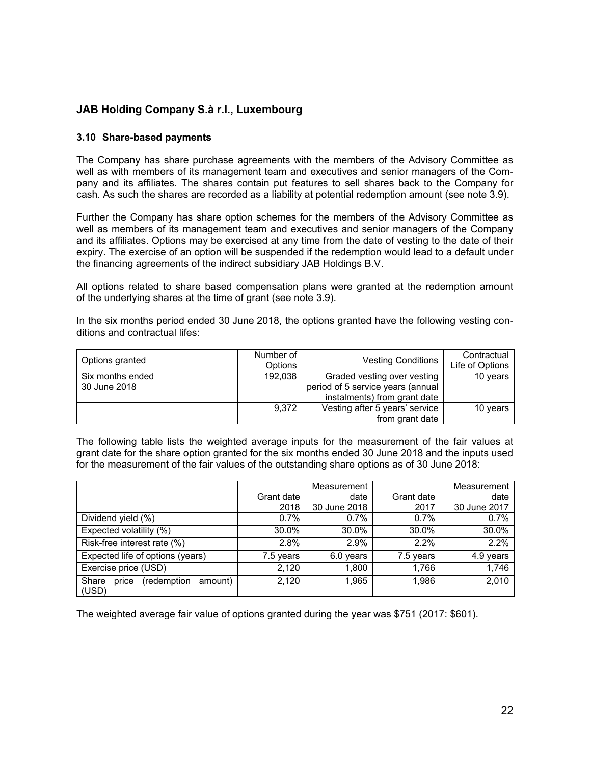#### **3.10 Share-based payments**

The Company has share purchase agreements with the members of the Advisory Committee as well as with members of its management team and executives and senior managers of the Company and its affiliates. The shares contain put features to sell shares back to the Company for cash. As such the shares are recorded as a liability at potential redemption amount (see note 3.9).

Further the Company has share option schemes for the members of the Advisory Committee as well as members of its management team and executives and senior managers of the Company and its affiliates. Options may be exercised at any time from the date of vesting to the date of their expiry. The exercise of an option will be suspended if the redemption would lead to a default under the financing agreements of the indirect subsidiary JAB Holdings B.V.

All options related to share based compensation plans were granted at the redemption amount of the underlying shares at the time of grant (see note 3.9).

In the six months period ended 30 June 2018, the options granted have the following vesting conditions and contractual lifes:

| Options granted                  | Number of<br><b>Options</b> | <b>Vesting Conditions</b>                                                                        | Contractual<br>Life of Options |
|----------------------------------|-----------------------------|--------------------------------------------------------------------------------------------------|--------------------------------|
| Six months ended<br>30 June 2018 | 192,038                     | Graded vesting over vesting<br>period of 5 service years (annual<br>instalments) from grant date | 10 years                       |
|                                  | 9.372                       | Vesting after 5 years' service                                                                   | 10 years                       |
|                                  |                             | from grant date                                                                                  |                                |

The following table lists the weighted average inputs for the measurement of the fair values at grant date for the share option granted for the six months ended 30 June 2018 and the inputs used for the measurement of the fair values of the outstanding share options as of 30 June 2018:

|                                                   |            | Measurement  |            | Measurement  |
|---------------------------------------------------|------------|--------------|------------|--------------|
|                                                   | Grant date | date         | Grant date | date         |
|                                                   | 2018       | 30 June 2018 | 2017       | 30 June 2017 |
| Dividend yield (%)                                | 0.7%       | 0.7%         | $0.7\%$    | 0.7%         |
| Expected volatility (%)                           | 30.0%      | 30.0%        | 30.0%      | 30.0%        |
| Risk-free interest rate (%)                       | 2.8%       | 2.9%         | $2.2\%$    | 2.2%         |
| Expected life of options (years)                  | 7.5 years  | 6.0 years    | 7.5 years  | 4.9 years    |
| Exercise price (USD)                              | 2,120      | 1,800        | 1,766      | 1,746        |
| Share<br>(redemption<br>amount)<br>price<br>(USD) | 2,120      | 1,965        | 1.986      | 2,010        |

The weighted average fair value of options granted during the year was \$751 (2017: \$601).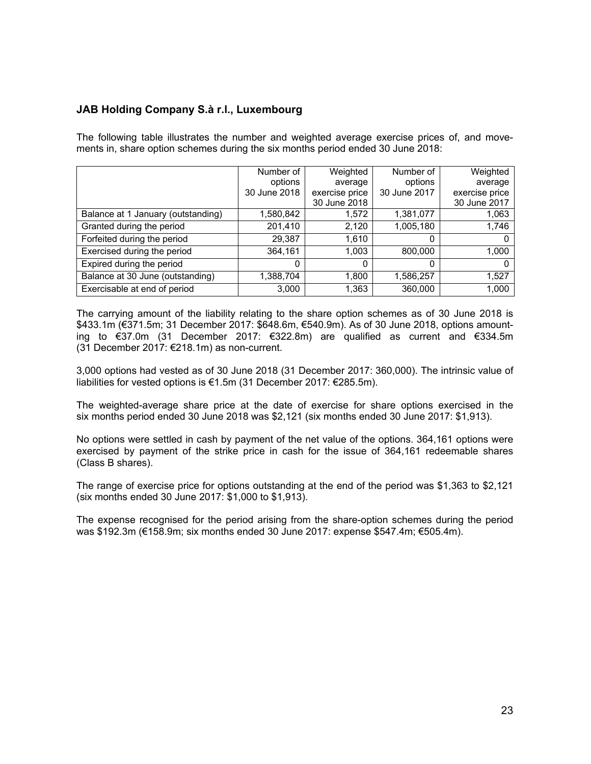The following table illustrates the number and weighted average exercise prices of, and movements in, share option schemes during the six months period ended 30 June 2018:

|                                    | Number of    | Weighted       | Number of    | Weighted       |
|------------------------------------|--------------|----------------|--------------|----------------|
|                                    | options      | average        | options      | average        |
|                                    | 30 June 2018 | exercise price | 30 June 2017 | exercise price |
|                                    |              | 30 June 2018   |              | 30 June 2017   |
| Balance at 1 January (outstanding) | 1,580,842    | 1,572          | 1,381,077    | 1,063          |
| Granted during the period          | 201,410      | 2,120          | 1,005,180    | 1,746          |
| Forfeited during the period        | 29,387       | 1,610          |              |                |
| Exercised during the period        | 364,161      | 1,003          | 800,000      | 1,000          |
| Expired during the period          | 0            |                |              |                |
| Balance at 30 June (outstanding)   | 1,388,704    | 1,800          | 1,586,257    | 1,527          |
| Exercisable at end of period       | 3,000        | 1,363          | 360,000      | 1.000          |

The carrying amount of the liability relating to the share option schemes as of 30 June 2018 is \$433.1m (€371.5m; 31 December 2017: \$648.6m, €540.9m). As of 30 June 2018, options amounting to €37.0m (31 December 2017: €322.8m) are qualified as current and €334.5m (31 December 2017: €218.1m) as non-current.

3,000 options had vested as of 30 June 2018 (31 December 2017: 360,000). The intrinsic value of liabilities for vested options is €1.5m (31 December 2017: €285.5m).

The weighted-average share price at the date of exercise for share options exercised in the six months period ended 30 June 2018 was \$2,121 (six months ended 30 June 2017: \$1,913).

No options were settled in cash by payment of the net value of the options. 364,161 options were exercised by payment of the strike price in cash for the issue of 364,161 redeemable shares (Class B shares).

The range of exercise price for options outstanding at the end of the period was \$1,363 to \$2,121 (six months ended 30 June 2017: \$1,000 to \$1,913).

The expense recognised for the period arising from the share-option schemes during the period was \$192.3m (€158.9m; six months ended 30 June 2017: expense \$547.4m; €505.4m).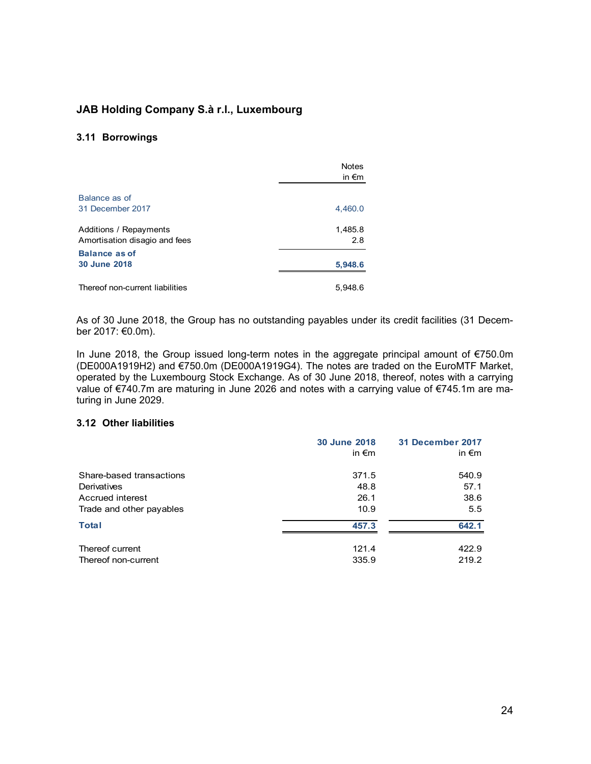#### **3.11 Borrowings**

|                                                         | <b>Notes</b><br>in $\epsilon$ m |
|---------------------------------------------------------|---------------------------------|
| Balance as of<br>31 December 2017                       | 4,460.0                         |
| Additions / Repayments<br>Amortisation disagio and fees | 1,485.8<br>2.8                  |
| <b>Balance as of</b><br>30 June 2018                    | 5,948.6                         |
| Thereof non-current liabilities                         | 5,948.6                         |

As of 30 June 2018, the Group has no outstanding payables under its credit facilities (31 December 2017: €0.0m).

In June 2018, the Group issued long-term notes in the aggregate principal amount of €750.0m (DE000A1919H2) and €750.0m (DE000A1919G4). The notes are traded on the EuroMTF Market, operated by the Luxembourg Stock Exchange. As of 30 June 2018, thereof, notes with a carrying value of €740.7m are maturing in June 2026 and notes with a carrying value of €745.1m are maturing in June 2029.

#### **3.12 Other liabilities**

|                          | 30 June 2018    | <b>31 December 2017</b> |
|--------------------------|-----------------|-------------------------|
|                          | in $\epsilon$ m | in $\epsilon$ m         |
| Share-based transactions | 371.5           | 540.9                   |
| Derivatives              | 48.8            | 57.1                    |
| Accrued interest         | 26.1            | 38.6                    |
| Trade and other payables | 10.9            | 5.5                     |
| <b>Total</b>             | 457.3           | 642.1                   |
| Thereof current          | 121.4           | 422.9                   |
| Thereof non-current      | 335.9           | 219.2                   |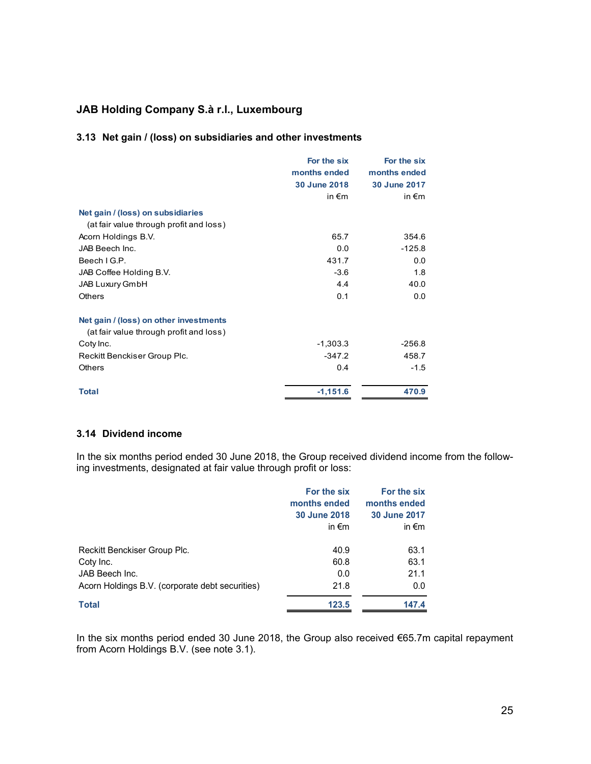### **3.13 Net gain / (loss) on subsidiaries and other investments**

|                                         | For the six     | For the six         |
|-----------------------------------------|-----------------|---------------------|
|                                         | months ended    | months ended        |
|                                         | 30 June 2018    | <b>30 June 2017</b> |
|                                         | in $\epsilon$ m | in $\epsilon$ m     |
| Net gain / (loss) on subsidiaries       |                 |                     |
| (at fair value through profit and loss) |                 |                     |
| Acorn Holdings B.V.                     | 65.7            | 354.6               |
| JAB Beech Inc.                          | 0.0             | $-125.8$            |
| Beech I G.P.                            | 431.7           | 0.0                 |
| JAB Coffee Holding B.V.                 | $-3.6$          | 1.8                 |
| <b>JAB Luxury GmbH</b>                  | 4.4             | 40.0                |
| <b>Others</b>                           | 0.1             | 0.0                 |
| Net gain / (loss) on other investments  |                 |                     |
| (at fair value through profit and loss) |                 |                     |
| Coty Inc.                               | $-1,303.3$      | $-256.8$            |
| Reckitt Benckiser Group Plc.            | $-347.2$        | 458.7               |
| <b>Others</b>                           | 0.4             | $-1.5$              |
| <b>Total</b>                            | $-1,151.6$      | 470.9               |

#### **3.14 Dividend income**

In the six months period ended 30 June 2018, the Group received dividend income from the following investments, designated at fair value through profit or loss:

|                                                 | For the six<br>months ended<br>30 June 2018<br>in $\epsilon$ m | For the six<br>months ended<br>30 June 2017<br>in $\epsilon$ m |
|-------------------------------------------------|----------------------------------------------------------------|----------------------------------------------------------------|
| Reckitt Benckiser Group Plc.                    | 40.9                                                           | 63.1                                                           |
| Coty Inc.                                       | 60.8                                                           | 63.1                                                           |
| JAB Beech Inc.                                  | 0.0                                                            | 21.1                                                           |
| Acorn Holdings B.V. (corporate debt securities) | 21.8                                                           | 0.0                                                            |
| <b>Total</b>                                    | 123.5                                                          | 147.4                                                          |

In the six months period ended 30 June 2018, the Group also received €65.7m capital repayment from Acorn Holdings B.V. (see note 3.1).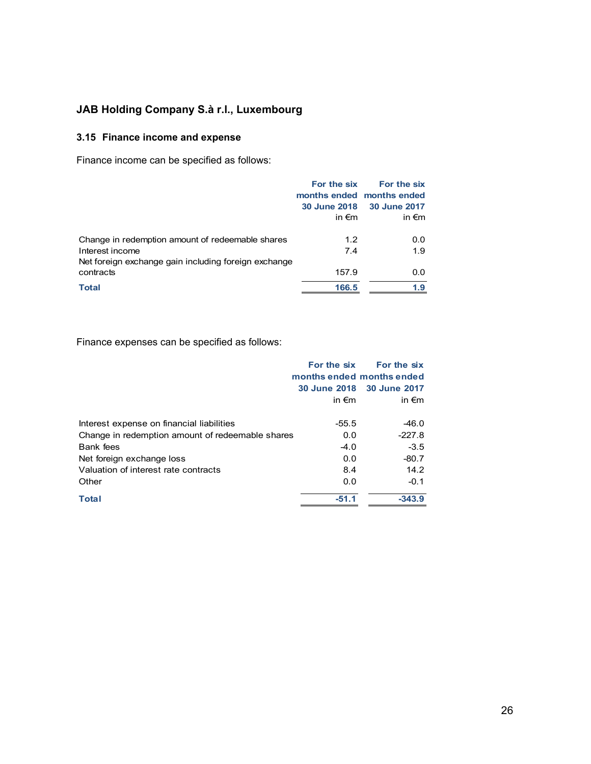## **3.15 Finance income and expense**

Finance income can be specified as follows:

|                                                                                                                             | For the six<br><b>30 June 2018</b><br>in $\epsilon$ m | For the six<br>months ended months ended<br>30 June 2017<br>in $\epsilon$ m |
|-----------------------------------------------------------------------------------------------------------------------------|-------------------------------------------------------|-----------------------------------------------------------------------------|
| Change in redemption amount of redeemable shares<br>Interest income<br>Net foreign exchange gain including foreign exchange | 1.2<br>7.4                                            | 0.0<br>1.9                                                                  |
| contracts<br><b>Total</b>                                                                                                   | 157.9<br>166.5                                        | 0.0<br>1.9                                                                  |

Finance expenses can be specified as follows:

|                                                  | For the six     | For the six               |
|--------------------------------------------------|-----------------|---------------------------|
|                                                  |                 | months ended months ended |
|                                                  |                 | 30 June 2018 30 June 2017 |
|                                                  | in $\epsilon$ m | in $\epsilon$ m           |
| Interest expense on financial liabilities        | $-55.5$         | $-46.0$                   |
| Change in redemption amount of redeemable shares | 0.0             | $-227.8$                  |
| Bank fees                                        | $-4.0$          | $-3.5$                    |
| Net foreign exchange loss                        | 0.0             | $-80.7$                   |
| Valuation of interest rate contracts             | 8.4             | 14.2                      |
| Other                                            | 0.0             | $-0.1$                    |
| <b>Total</b>                                     | $-51.1$         | $-343.9$                  |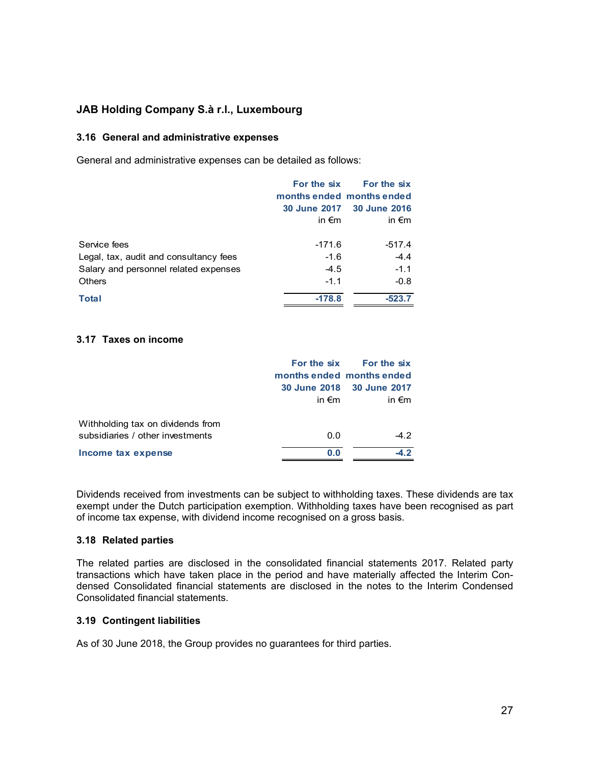#### **3.16 General and administrative expenses**

General and administrative expenses can be detailed as follows:

|                                        |                 | For the six For the six   |
|----------------------------------------|-----------------|---------------------------|
|                                        |                 | months ended months ended |
|                                        |                 | 30 June 2017 30 June 2016 |
|                                        | in $\epsilon$ m | in $\epsilon$ m           |
| Service fees                           | -171.6          | $-517.4$                  |
| Legal, tax, audit and consultancy fees | $-1.6$          | $-4.4$                    |
| Salary and personnel related expenses  | $-4.5$          | $-1.1$                    |
| <b>Others</b>                          | $-1.1$          | $-0.8$                    |
| <b>Total</b>                           | $-178.8$        | $-523.7$                  |

#### **3.17 Taxes on income**

|                                   |                 | For the six For the six   |
|-----------------------------------|-----------------|---------------------------|
|                                   |                 | months ended months ended |
|                                   |                 | 30 June 2018 30 June 2017 |
|                                   | in $\epsilon$ m | in $\epsilon$ m           |
|                                   |                 |                           |
| Withholding tax on dividends from |                 |                           |
| subsidiaries / other investments  | 0.0             | $-4.2$                    |
| Income tax expense                | 0.0             |                           |

Dividends received from investments can be subject to withholding taxes. These dividends are tax exempt under the Dutch participation exemption. Withholding taxes have been recognised as part of income tax expense, with dividend income recognised on a gross basis.

#### **3.18 Related parties**

The related parties are disclosed in the consolidated financial statements 2017. Related party transactions which have taken place in the period and have materially affected the Interim Condensed Consolidated financial statements are disclosed in the notes to the Interim Condensed Consolidated financial statements.

#### **3.19 Contingent liabilities**

As of 30 June 2018, the Group provides no guarantees for third parties.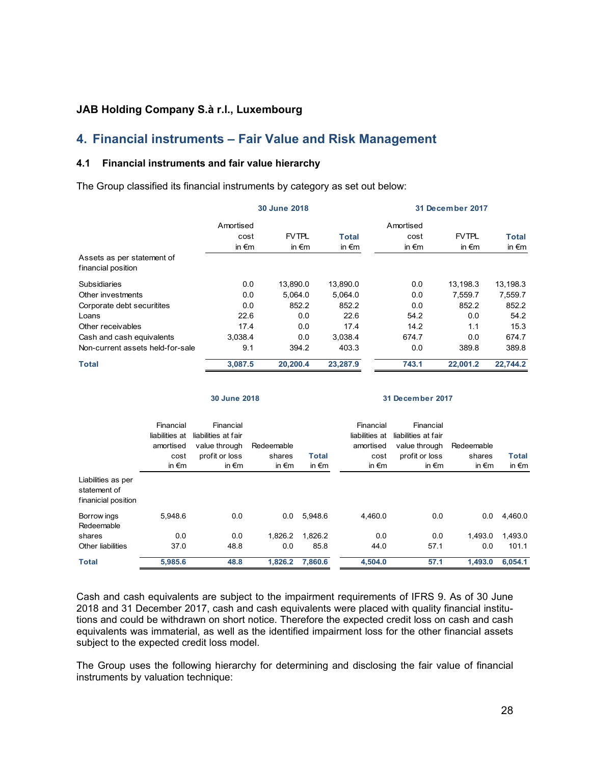## **4. Financial instruments – Fair Value and Risk Management**

#### **4.1 Financial instruments and fair value hierarchy**

The Group classified its financial instruments by category as set out below:

|                                  | 30 June 2018    |                 |                 | 31 December 2017 |                 |                 |  |
|----------------------------------|-----------------|-----------------|-----------------|------------------|-----------------|-----------------|--|
|                                  | Amortised       |                 |                 | Amortised        |                 |                 |  |
|                                  | cost            | <b>FVTPL</b>    | <b>Total</b>    | cost             | <b>FVTPL</b>    | <b>Total</b>    |  |
|                                  | in $\epsilon$ m | in $\epsilon$ m | in $\epsilon$ m | in $\epsilon$ m  | in $\epsilon$ m | in $\epsilon$ m |  |
| Assets as per statement of       |                 |                 |                 |                  |                 |                 |  |
| financial position               |                 |                 |                 |                  |                 |                 |  |
| <b>Subsidiaries</b>              | 0.0             | 13,890.0        | 13,890.0        | 0.0              | 13,198.3        | 13,198.3        |  |
| Other investments                | 0.0             | 5.064.0         | 5,064.0         | 0.0              | 7,559.7         | 7,559.7         |  |
| Corporate debt securitites       | 0.0             | 852.2           | 852.2           | 0.0              | 852.2           | 852.2           |  |
| Loans                            | 22.6            | 0.0             | 22.6            | 54.2             | 0.0             | 54.2            |  |
| Other receivables                | 17.4            | 0.0             | 17.4            | 14.2             | 1.1             | 15.3            |  |
| Cash and cash equivalents        | 3.038.4         | 0.0             | 3,038.4         | 674.7            | 0.0             | 674.7           |  |
| Non-current assets held-for-sale | 9.1             | 394.2           | 403.3           | 0.0              | 389.8           | 389.8           |  |
| <b>Total</b>                     | 3,087.5         | 20,200.4        | 23,287.9        | 743.1            | 22,001.2        | 22,744.2        |  |

**30 June 2018 31 December 2017**

|                                                           | Financial<br>liabilities at<br>amortised<br>cost<br>in $\epsilon$ m | Financial<br>liabilities at fair<br>value through<br>profit or loss<br>in $\epsilon$ m | Redeemable<br>shares<br>in $\epsilon$ m | <b>Total</b><br>in $\epsilon$ m | Financial<br>liabilities at<br>amortised<br>cost<br>in $\epsilon$ m | Financial<br>liabilities at fair<br>value through<br>profit or loss<br>in $\epsilon$ m | Redeemable<br>shares<br>in $\epsilon$ m | <b>Total</b><br>in $\epsilon$ m |
|-----------------------------------------------------------|---------------------------------------------------------------------|----------------------------------------------------------------------------------------|-----------------------------------------|---------------------------------|---------------------------------------------------------------------|----------------------------------------------------------------------------------------|-----------------------------------------|---------------------------------|
| Liabilities as per<br>statement of<br>finanicial position |                                                                     |                                                                                        |                                         |                                 |                                                                     |                                                                                        |                                         |                                 |
| Borrow ings<br>Redeemable                                 | 5.948.6                                                             | 0.0                                                                                    | 0.0                                     | 5.948.6                         | 4.460.0                                                             | 0.0                                                                                    | 0.0                                     | 4.460.0                         |
| shares                                                    | 0.0                                                                 | 0.0                                                                                    | 1.826.2                                 | 1.826.2                         | 0.0                                                                 | 0.0                                                                                    | 1.493.0                                 | 1.493.0                         |
| Other liabilities                                         | 37.0                                                                | 48.8                                                                                   | 0.0                                     | 85.8                            | 44.0                                                                | 57.1                                                                                   | 0.0                                     | 101.1                           |
| <b>Total</b>                                              | 5,985.6                                                             | 48.8                                                                                   | 1,826.2                                 | 7,860.6                         | 4,504.0                                                             | 57.1                                                                                   | 1,493.0                                 | 6,054.1                         |

Cash and cash equivalents are subject to the impairment requirements of IFRS 9. As of 30 June 2018 and 31 December 2017, cash and cash equivalents were placed with quality financial institutions and could be withdrawn on short notice. Therefore the expected credit loss on cash and cash equivalents was immaterial, as well as the identified impairment loss for the other financial assets subject to the expected credit loss model.

The Group uses the following hierarchy for determining and disclosing the fair value of financial instruments by valuation technique: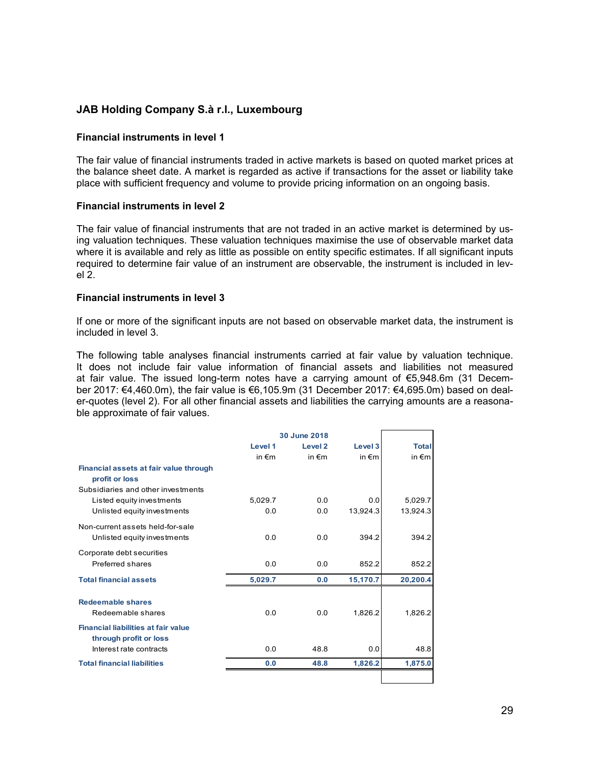#### **Financial instruments in level 1**

The fair value of financial instruments traded in active markets is based on quoted market prices at the balance sheet date. A market is regarded as active if transactions for the asset or liability take place with sufficient frequency and volume to provide pricing information on an ongoing basis.

#### **Financial instruments in level 2**

The fair value of financial instruments that are not traded in an active market is determined by using valuation techniques. These valuation techniques maximise the use of observable market data where it is available and rely as little as possible on entity specific estimates. If all significant inputs required to determine fair value of an instrument are observable, the instrument is included in level 2.

#### **Financial instruments in level 3**

If one or more of the significant inputs are not based on observable market data, the instrument is included in level 3.

The following table analyses financial instruments carried at fair value by valuation technique. It does not include fair value information of financial assets and liabilities not measured at fair value. The issued long-term notes have a carrying amount of €5,948.6m (31 December 2017: €4,460.0m), the fair value is €6,105.9m (31 December 2017: €4,695.0m) based on dealer-quotes (level 2). For all other financial assets and liabilities the carrying amounts are a reasonable approximate of fair values.

|                                                                      | 30 June 2018    |                 |                 |                 |
|----------------------------------------------------------------------|-----------------|-----------------|-----------------|-----------------|
|                                                                      | Level 1         | Level 2         | Level 3         | <b>Total</b>    |
|                                                                      | in $\epsilon$ m | in $\epsilon$ m | in $\epsilon$ m | in $\epsilon$ m |
| Financial assets at fair value through<br>profit or loss             |                 |                 |                 |                 |
| Subsidiaries and other investments                                   |                 |                 |                 |                 |
| Listed equity investments                                            | 5.029.7         | 0.0             | 0.0             | 5,029.7         |
| Unlisted equity investments                                          | 0.0             | 0.0             | 13,924.3        | 13,924.3        |
| Non-current assets held-for-sale                                     |                 |                 |                 |                 |
| Unlisted equity investments                                          | 0.0             | 0.0             | 394.2           | 394.2           |
| Corporate debt securities                                            |                 |                 |                 |                 |
| Preferred shares                                                     | 0.0             | 0.0             | 852.2           | 852.2           |
| <b>Total financial assets</b>                                        | 5,029.7         | 0.0             | 15,170.7        | 20,200.4        |
| <b>Redeemable shares</b><br>Redeemable shares                        | 0.0             | 0.0             | 1,826.2         | 1,826.2         |
| <b>Financial liabilities at fair value</b><br>through profit or loss |                 |                 |                 |                 |
| Interest rate contracts                                              | 0.0             | 48.8            | 0.0             | 48.8            |
| <b>Total financial liabilities</b>                                   | 0.0             | 48.8            | 1,826.2         | 1,875.0         |
|                                                                      |                 |                 |                 |                 |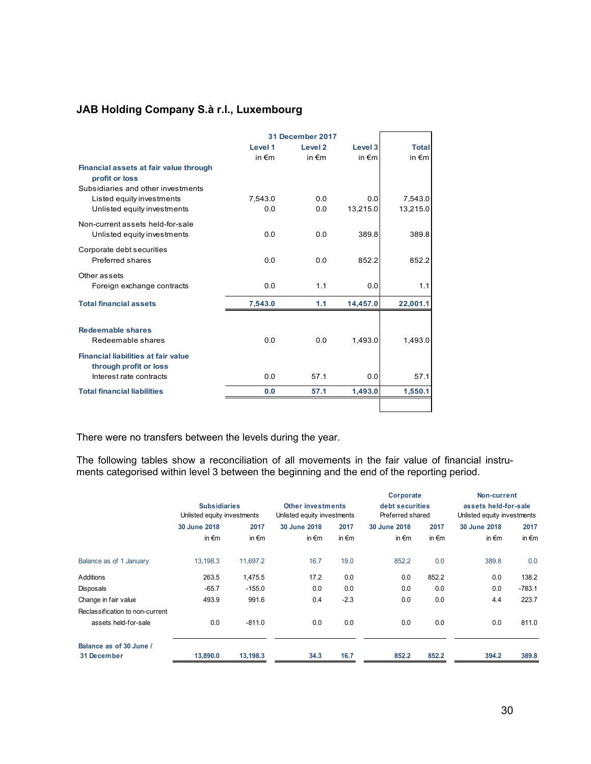|                                                                                                | 31 December 2017 |                 |                 |                 |
|------------------------------------------------------------------------------------------------|------------------|-----------------|-----------------|-----------------|
|                                                                                                | Level 1          | Level 2         | Level 3         | <b>Total</b>    |
|                                                                                                | in $\epsilon$ m  | in $\epsilon$ m | in $\epsilon$ m | in $\epsilon$ m |
| Financial assets at fair value through<br>profit or loss<br>Subsidiaries and other investments |                  |                 |                 |                 |
| Listed equity investments                                                                      | 7.543.0          | 0.0             | 0.0             | 7,543.0         |
| Unlisted equity investments                                                                    | 0.0              | 0.0             | 13,215.0        | 13,215.0        |
|                                                                                                |                  |                 |                 |                 |
| Non-current assets held-for-sale                                                               |                  |                 |                 |                 |
| Unlisted equity investments                                                                    | 0.0              | 0.0             | 389.8           | 389.8           |
| Corporate debt securities<br>Preferred shares                                                  | 0.0              | 0.0             | 852.2           | 852.2           |
| Other assets                                                                                   |                  |                 |                 |                 |
| Foreign exchange contracts                                                                     | 0.0              | 1.1             | 0.0             | 1.1             |
| <b>Total financial assets</b>                                                                  | 7,543.0          | 1.1             | 14,457.0        | 22,001.1        |
| <b>Redeemable shares</b><br>Redeemable shares                                                  | 0.0              | 0.0             | 1,493.0         | 1,493.0         |
| <b>Financial liabilities at fair value</b><br>through profit or loss                           |                  |                 |                 |                 |
| Interest rate contracts                                                                        | 0.0              | 57.1            | 0.0             | 57.1            |
| <b>Total financial liabilities</b>                                                             | 0.0              | 57.1            | 1,493.0         | 1,550.1         |
|                                                                                                |                  |                 |                 |                 |

There were no transfers between the levels during the year.

The following tables show a reconciliation of all movements in the fair value of financial instruments categorised within level 3 between the beginning and the end of the reporting period.

|                                        |                             |                 |                             |                 | Corporate        |                 | Non-current                 |                 |
|----------------------------------------|-----------------------------|-----------------|-----------------------------|-----------------|------------------|-----------------|-----------------------------|-----------------|
|                                        | <b>Subsidiaries</b>         |                 | <b>Other investments</b>    |                 | debt securities  |                 | assets held-for-sale        |                 |
|                                        | Unlisted equity investments |                 | Unlisted equity investments |                 | Preferred shared |                 | Unlisted equity investments |                 |
|                                        | 30 June 2018                | 2017            | 30 June 2018                | 2017            | 30 June 2018     | 2017            | 30 June 2018                | 2017            |
|                                        | in $\epsilon$ m             | in $\epsilon$ m | in $\epsilon$ m             | in $\epsilon$ m | in $\epsilon$ m  | in $\epsilon$ m | in $\epsilon$ m             | in $\epsilon$ m |
| Balance as of 1 January                | 13,198.3                    | 11,697.2        | 16.7                        | 19.0            | 852.2            | 0.0             | 389.8                       | 0.0             |
| Additions                              | 263.5                       | 1,475.5         | 17.2                        | 0.0             | 0.0              | 852.2           | 0.0                         | 138.2           |
| Disposals                              | $-65.7$                     | $-155.0$        | 0.0                         | 0.0             | 0.0              | 0.0             | 0.0                         | $-783.1$        |
| Change in fair value                   | 493.9                       | 991.6           | 0.4                         | $-2.3$          | 0.0              | 0.0             | 4.4                         | 223.7           |
| Reclassification to non-current        |                             |                 |                             |                 |                  |                 |                             |                 |
| assets held-for-sale                   | 0.0                         | $-811.0$        | 0.0                         | 0.0             | 0.0              | 0.0             | 0.0                         | 811.0           |
| Balance as of 30 June /<br>31 December | 13,890.0                    | 13,198.3        | 34.3                        | 16.7            | 852.2            | 852.2           | 394.2                       | 389.8           |
|                                        |                             |                 |                             |                 |                  |                 |                             |                 |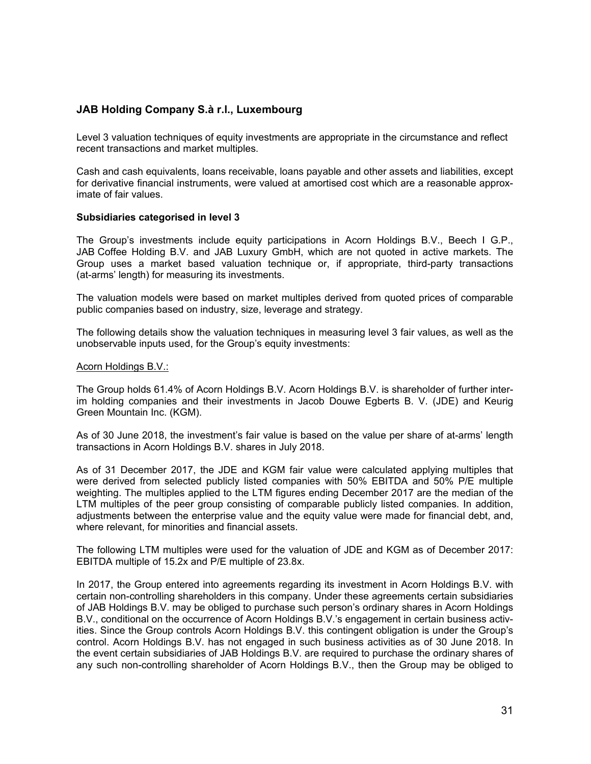Level 3 valuation techniques of equity investments are appropriate in the circumstance and reflect recent transactions and market multiples.

Cash and cash equivalents, loans receivable, loans payable and other assets and liabilities, except for derivative financial instruments, were valued at amortised cost which are a reasonable approximate of fair values.

#### **Subsidiaries categorised in level 3**

The Group's investments include equity participations in Acorn Holdings B.V., Beech I G.P., JAB Coffee Holding B.V. and JAB Luxury GmbH, which are not quoted in active markets. The Group uses a market based valuation technique or, if appropriate, third-party transactions (at-arms' length) for measuring its investments.

The valuation models were based on market multiples derived from quoted prices of comparable public companies based on industry, size, leverage and strategy.

The following details show the valuation techniques in measuring level 3 fair values, as well as the unobservable inputs used, for the Group's equity investments:

#### Acorn Holdings B.V.:

The Group holds 61.4% of Acorn Holdings B.V. Acorn Holdings B.V. is shareholder of further interim holding companies and their investments in Jacob Douwe Egberts B. V. (JDE) and Keurig Green Mountain Inc. (KGM).

As of 30 June 2018, the investment's fair value is based on the value per share of at-arms' length transactions in Acorn Holdings B.V. shares in July 2018.

As of 31 December 2017, the JDE and KGM fair value were calculated applying multiples that were derived from selected publicly listed companies with 50% EBITDA and 50% P/E multiple weighting. The multiples applied to the LTM figures ending December 2017 are the median of the LTM multiples of the peer group consisting of comparable publicly listed companies. In addition, adjustments between the enterprise value and the equity value were made for financial debt, and, where relevant, for minorities and financial assets.

The following LTM multiples were used for the valuation of JDE and KGM as of December 2017: EBITDA multiple of 15.2x and P/E multiple of 23.8x.

In 2017, the Group entered into agreements regarding its investment in Acorn Holdings B.V. with certain non-controlling shareholders in this company. Under these agreements certain subsidiaries of JAB Holdings B.V. may be obliged to purchase such person's ordinary shares in Acorn Holdings B.V., conditional on the occurrence of Acorn Holdings B.V.'s engagement in certain business activities. Since the Group controls Acorn Holdings B.V. this contingent obligation is under the Group's control. Acorn Holdings B.V. has not engaged in such business activities as of 30 June 2018. In the event certain subsidiaries of JAB Holdings B.V. are required to purchase the ordinary shares of any such non-controlling shareholder of Acorn Holdings B.V., then the Group may be obliged to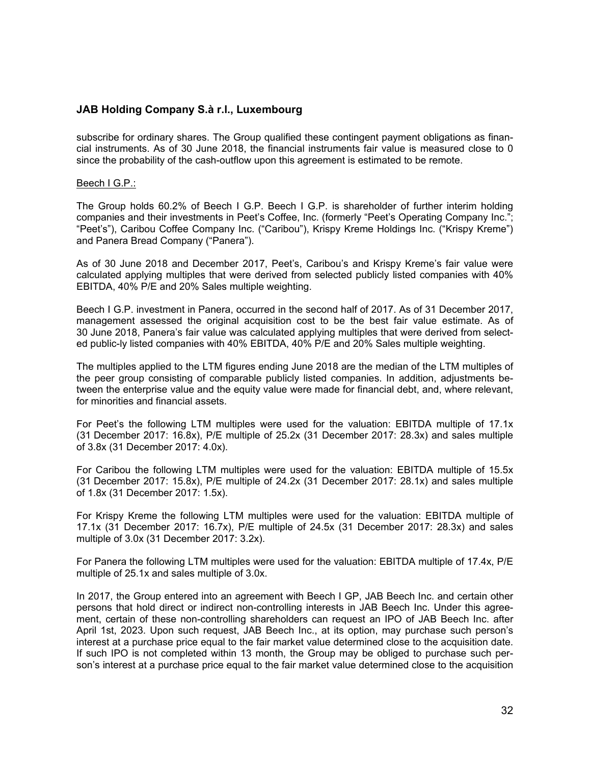subscribe for ordinary shares. The Group qualified these contingent payment obligations as financial instruments. As of 30 June 2018, the financial instruments fair value is measured close to 0 since the probability of the cash-outflow upon this agreement is estimated to be remote.

#### Beech I G.P.:

The Group holds 60.2% of Beech I G.P. Beech I G.P. is shareholder of further interim holding companies and their investments in Peet's Coffee, Inc. (formerly "Peet's Operating Company Inc."; "Peet's"), Caribou Coffee Company Inc. ("Caribou"), Krispy Kreme Holdings Inc. ("Krispy Kreme") and Panera Bread Company ("Panera").

As of 30 June 2018 and December 2017, Peet's, Caribou's and Krispy Kreme's fair value were calculated applying multiples that were derived from selected publicly listed companies with 40% EBITDA, 40% P/E and 20% Sales multiple weighting.

Beech I G.P. investment in Panera, occurred in the second half of 2017. As of 31 December 2017, management assessed the original acquisition cost to be the best fair value estimate. As of 30 June 2018, Panera's fair value was calculated applying multiples that were derived from selected public-ly listed companies with 40% EBITDA, 40% P/E and 20% Sales multiple weighting.

The multiples applied to the LTM figures ending June 2018 are the median of the LTM multiples of the peer group consisting of comparable publicly listed companies. In addition, adjustments between the enterprise value and the equity value were made for financial debt, and, where relevant, for minorities and financial assets.

For Peet's the following LTM multiples were used for the valuation: EBITDA multiple of 17.1x (31 December 2017: 16.8x), P/E multiple of 25.2x (31 December 2017: 28.3x) and sales multiple of 3.8x (31 December 2017: 4.0x).

For Caribou the following LTM multiples were used for the valuation: EBITDA multiple of 15.5x (31 December 2017: 15.8x), P/E multiple of 24.2x (31 December 2017: 28.1x) and sales multiple of 1.8x (31 December 2017: 1.5x).

For Krispy Kreme the following LTM multiples were used for the valuation: EBITDA multiple of 17.1x (31 December 2017: 16.7x), P/E multiple of 24.5x (31 December 2017: 28.3x) and sales multiple of 3.0x (31 December 2017: 3.2x).

For Panera the following LTM multiples were used for the valuation: EBITDA multiple of 17.4x, P/E multiple of 25.1x and sales multiple of 3.0x.

In 2017, the Group entered into an agreement with Beech I GP, JAB Beech Inc. and certain other persons that hold direct or indirect non-controlling interests in JAB Beech Inc. Under this agreement, certain of these non-controlling shareholders can request an IPO of JAB Beech Inc. after April 1st, 2023. Upon such request, JAB Beech Inc., at its option, may purchase such person's interest at a purchase price equal to the fair market value determined close to the acquisition date. If such IPO is not completed within 13 month, the Group may be obliged to purchase such person's interest at a purchase price equal to the fair market value determined close to the acquisition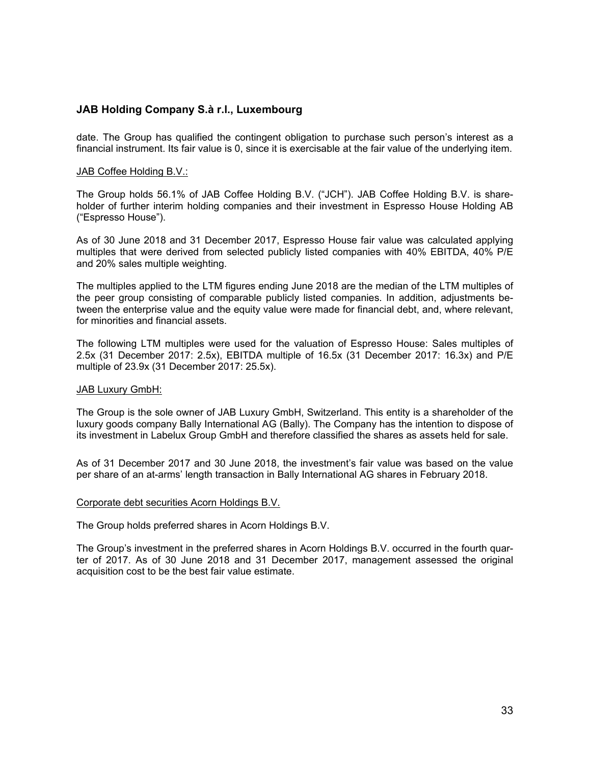date. The Group has qualified the contingent obligation to purchase such person's interest as a financial instrument. Its fair value is 0, since it is exercisable at the fair value of the underlying item.

#### JAB Coffee Holding B.V.:

The Group holds 56.1% of JAB Coffee Holding B.V. ("JCH"). JAB Coffee Holding B.V. is shareholder of further interim holding companies and their investment in Espresso House Holding AB ("Espresso House").

As of 30 June 2018 and 31 December 2017, Espresso House fair value was calculated applying multiples that were derived from selected publicly listed companies with 40% EBITDA, 40% P/E and 20% sales multiple weighting.

The multiples applied to the LTM figures ending June 2018 are the median of the LTM multiples of the peer group consisting of comparable publicly listed companies. In addition, adjustments between the enterprise value and the equity value were made for financial debt, and, where relevant, for minorities and financial assets.

The following LTM multiples were used for the valuation of Espresso House: Sales multiples of 2.5x (31 December 2017: 2.5x), EBITDA multiple of 16.5x (31 December 2017: 16.3x) and P/E multiple of 23.9x (31 December 2017: 25.5x).

#### JAB Luxury GmbH:

The Group is the sole owner of JAB Luxury GmbH, Switzerland. This entity is a shareholder of the luxury goods company Bally International AG (Bally). The Company has the intention to dispose of its investment in Labelux Group GmbH and therefore classified the shares as assets held for sale.

As of 31 December 2017 and 30 June 2018, the investment's fair value was based on the value per share of an at-arms' length transaction in Bally International AG shares in February 2018.

#### Corporate debt securities Acorn Holdings B.V.

The Group holds preferred shares in Acorn Holdings B.V.

The Group's investment in the preferred shares in Acorn Holdings B.V. occurred in the fourth quarter of 2017. As of 30 June 2018 and 31 December 2017, management assessed the original acquisition cost to be the best fair value estimate.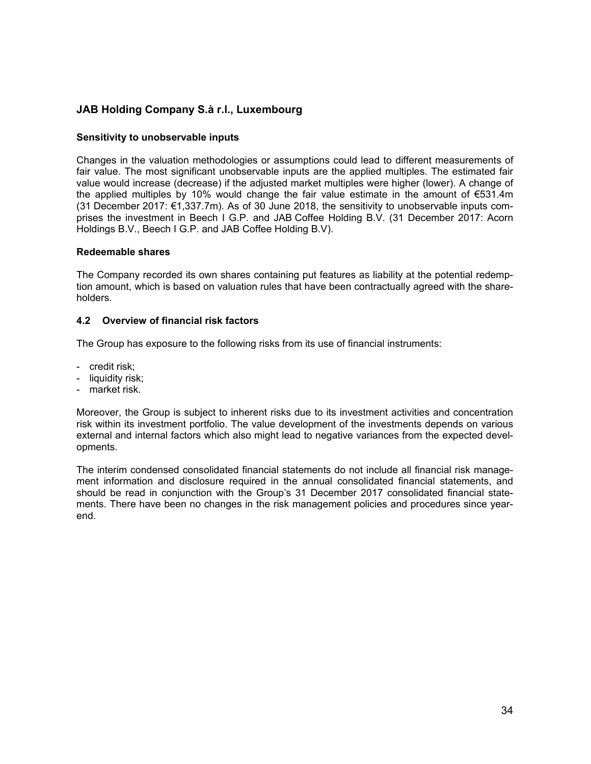#### **Sensitivity to unobservable inputs**

Changes in the valuation methodologies or assumptions could lead to different measurements of fair value. The most significant unobservable inputs are the applied multiples. The estimated fair value would increase (decrease) if the adjusted market multiples were higher (lower). A change of the applied multiples by 10% would change the fair value estimate in the amount of €531.4m (31 December 2017: €1,337.7m). As of 30 June 2018, the sensitivity to unobservable inputs comprises the investment in Beech I G.P. and JAB Coffee Holding B.V. (31 December 2017: Acorn Holdings B.V., Beech I G.P. and JAB Coffee Holding B.V).

#### **Redeemable shares**

The Company recorded its own shares containing put features as liability at the potential redemption amount, which is based on valuation rules that have been contractually agreed with the shareholders.

#### **4.2 Overview of financial risk factors**

The Group has exposure to the following risks from its use of financial instruments:

- credit risk;
- liquidity risk;
- market risk.

Moreover, the Group is subject to inherent risks due to its investment activities and concentration risk within its investment portfolio. The value development of the investments depends on various external and internal factors which also might lead to negative variances from the expected developments.

The interim condensed consolidated financial statements do not include all financial risk management information and disclosure required in the annual consolidated financial statements, and should be read in conjunction with the Group's 31 December 2017 consolidated financial statements. There have been no changes in the risk management policies and procedures since yearend.